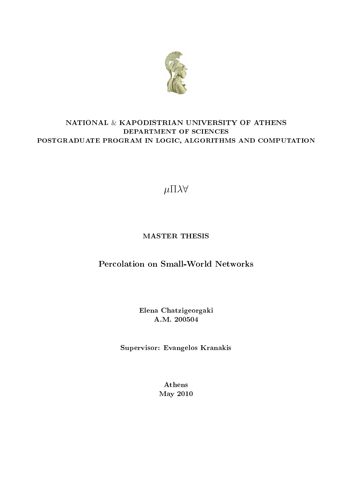

# NATIONAL & KAPODISTRIAN UNIVERSITY OF ATHENS DEPARTMENT OF SCIENCES POSTGRADUATE PROGRAM IN LOGIC, ALGORITHMS AND COMPUTATION

*µ*Π*λ∀*

# MASTER THESIS

# Percolation on Small-World Networks

Elena Chatzigeorgaki A.M. 200504

Supervisor: Evangelos Kranakis

Athens May 2010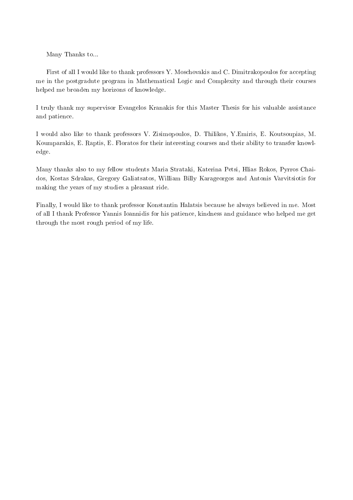Many Thanks to...

First of all I would like to thank professors Y. Moschovakis and C. Dimitrakopoulos for accepting me in the postgradute program in Mathematical Logic and Complexity and through their courses helped me broaden my horizons of knowledge.

I truly thank my supervisor Evangelos Kranakis for this Master Thesis for his valuable assistance and patience.

I would also like to thank professors V. Zisimopoulos, D. Thilikos, Y.Emiris, E. Koutsoupias, M. Koumparakis, E. Raptis, E. Floratos for their interesting courses and their ability to transfer knowledge.

Many thanks also to my fellow students Maria Strataki, Katerina Petsi, Hlias Rokos, Pyrros Chaidos, Kostas Sdrakas, Gregory Galiatsatos, William Billy Karageorgos and Antonis Varvitsiotis for making the years of my studies a pleasant ride.

Finally, I would like to thank professor Konstantin Halatsis because he always believed in me. Most of all I thank Professor Yannis Ioannidis for his patience, kindness and guidance who helped me get through the most rough period of my life.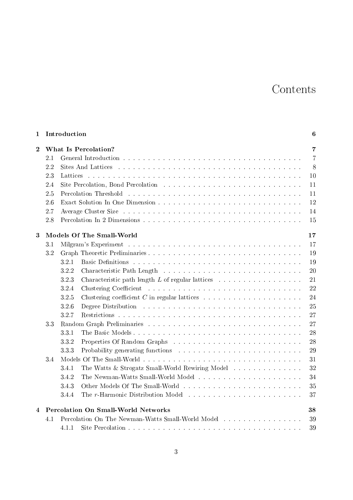# Contents

| 1              |     | Introduction                                                                                                                                                                                                                          | 6              |
|----------------|-----|---------------------------------------------------------------------------------------------------------------------------------------------------------------------------------------------------------------------------------------|----------------|
| $\overline{2}$ |     | What Is Percolation?                                                                                                                                                                                                                  | $\overline{7}$ |
|                | 2.1 |                                                                                                                                                                                                                                       | $\overline{7}$ |
|                | 2.2 | Sites And Lattices in the contract of the contract of the contract of the state of the state of the state of the state of the state of the state of the state of the state of the state of the state of the state of the state        | 8              |
|                | 23  | Lattices descriptions are a constructed and constructed and constructions of the construction of the construction of the construction of the construction of the construction of the construction of the construction of the c        | 10             |
|                | 2.4 |                                                                                                                                                                                                                                       | 11             |
|                | 2.5 | Percolation Threshold (a) and a subsequently and a subsequently and a subsequently and the set of the set of the set of the set of the set of the set of the set of the set of the set of the set of the set of the set of the        | 11             |
|                | 2.6 |                                                                                                                                                                                                                                       | 12             |
|                | 2.7 | Average Cluster Size resources in the contract of the contract of the contract of the contract of the contract of the contract of the contract of the contract of the contract of the contract of the contract of the contract        | 14             |
|                | 2.8 |                                                                                                                                                                                                                                       | 15             |
| 3              |     | Models Of The Small-World                                                                                                                                                                                                             | 17             |
|                | 3.1 |                                                                                                                                                                                                                                       | 17             |
|                | 3.2 |                                                                                                                                                                                                                                       | 19             |
|                |     | Basic Definitions de la communicación de la communicación de la communicación de la communicación de la commun<br>3.2.1                                                                                                               | 19             |
|                |     | 322                                                                                                                                                                                                                                   | 20             |
|                |     | 3.2.3<br>Characteristic path length $L$ of regular lattices                                                                                                                                                                           | 21             |
|                |     | 324<br>Clustering Coefficient the contract of the contract of the coefficient the coefficient of the coefficient of the coefficient of the coefficient of the coefficient of the coefficient of the coefficient of the coefficient of | 22             |
|                |     | $3\ 2\ 5$<br>Clustering coefficient C in regular lattices $\ldots \ldots \ldots \ldots \ldots \ldots \ldots$                                                                                                                          | 24             |
|                |     | 326                                                                                                                                                                                                                                   | 25             |
|                |     | 327                                                                                                                                                                                                                                   | 27             |
|                | 3.3 |                                                                                                                                                                                                                                       | 27             |
|                |     | 331                                                                                                                                                                                                                                   | 28             |
|                |     | 332<br>Properties Of Random Graphs (and all contracts of the contracts of the contracts of the contracts of the contracts of the contracts of the contracts of the contracts of the contracts of the contracts of the contracts of th | 28             |
|                |     | 3.3.3                                                                                                                                                                                                                                 | 29             |
|                | 34  |                                                                                                                                                                                                                                       | 31             |
|                |     | The Watts & Strogatz Small-World Rewiring Model<br>341                                                                                                                                                                                | 32             |
|                |     | 342                                                                                                                                                                                                                                   | 34             |
|                |     | 343                                                                                                                                                                                                                                   | 35             |
|                |     | The r-Harmonic Distribution Model<br>344                                                                                                                                                                                              | 37             |
| 4              |     | <b>Percolation On Small-World Networks</b>                                                                                                                                                                                            | 38             |
|                | 4.1 | Percolation On The Newman-Watts Small-World Model                                                                                                                                                                                     | 39             |
|                |     | 4.1.1                                                                                                                                                                                                                                 | 39             |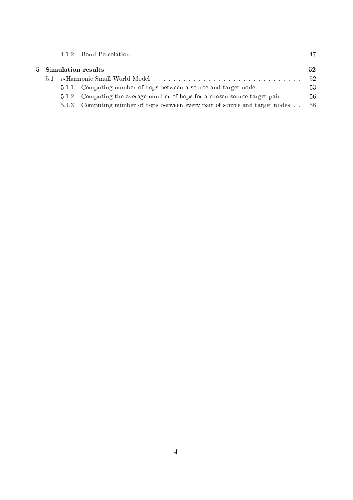|      | 5 Simulation results                                                            | 52 |
|------|---------------------------------------------------------------------------------|----|
| 5.1. |                                                                                 |    |
|      | 5.1.1 Computing number of hops between a source and target node 53              |    |
|      | 5.1.2 Computing the average number of hops for a chosen source-target pair 56   |    |
|      | 5.1.3 Computing number of hops between every pair of source and target nodes 58 |    |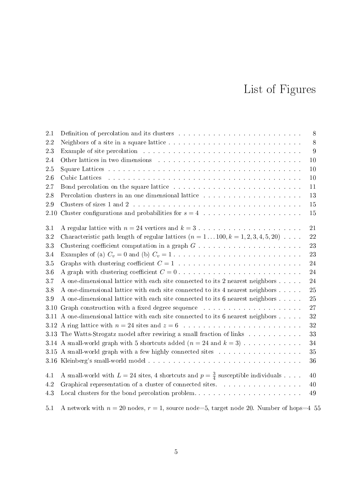# List of Figures

| 2.1  | Definition of percolation and its clusters research and contained a set of the set of the set of the set of the                                                                                                                | $8\,$ |
|------|--------------------------------------------------------------------------------------------------------------------------------------------------------------------------------------------------------------------------------|-------|
| 2.2  |                                                                                                                                                                                                                                | $8\,$ |
| 23   |                                                                                                                                                                                                                                | 9     |
| 2.4  |                                                                                                                                                                                                                                | 10    |
| 2.5  |                                                                                                                                                                                                                                | 10    |
| 26   | Cubic Lattices and an annual contract the contract of the contract of the contract of the contract of the contract of the contract of the contract of the contract of the contract of the contract of the contract of the cont | 10    |
| 2.7  | Bond percolation on the square lattice resonance in the contract of the square lattice resonance in the square lattice                                                                                                         | 11    |
| 2.8  | Percolation clusters in an one dimensional lattice with a subset of the set of the set of the set of the set of the set of the set of the set of the set of the set of the set of the set of the set of the set of the set of  | 13    |
| 29   |                                                                                                                                                                                                                                | 15    |
| 2.10 |                                                                                                                                                                                                                                | 15    |
| 3.1  |                                                                                                                                                                                                                                | 21    |
| 3.2  | Characteristic path length of regular lattices $(n = 1100, k = 1, 2, 3, 4, 5, 20) $                                                                                                                                            | 22    |
| 3.3  |                                                                                                                                                                                                                                | 23    |
| 3.4  |                                                                                                                                                                                                                                | 23    |
| 3.5  |                                                                                                                                                                                                                                | 24    |
| 3.6  | A graph with clustering coefficient $C = 0$ .                                                                                                                                                                                  | 24    |
| 3.7  | A one-dimensional lattice with each site connected to its 2 nearest neighbors                                                                                                                                                  | 24    |
| 3.8  | A one-dimensional lattice with each site connected to its 4 nearest neighbors                                                                                                                                                  | 25    |
| 3.9  | A one-dimensional lattice with each site connected to its 6 nearest neighbors                                                                                                                                                  | 25    |
| 3.10 | Graph construction with a fixed degree sequence with a series of the second sequence with a fixed degree sequence with a series of the second second series of the set of the series of the series of the second series of the | 27    |
|      | 3.11 A one-dimensional lattice with each site connected to its 6 nearest neighbors                                                                                                                                             | 32    |
|      |                                                                                                                                                                                                                                | 32    |
|      | 3.13 The Watts-Strogatz model after rewiring a small fraction of links                                                                                                                                                         | 33    |
|      | 3.14 A small-world graph with 5 shortcuts added $(n = 24$ and $k = 3)$                                                                                                                                                         | 34    |
|      | 3.15 A small-world graph with a few highly connected sites                                                                                                                                                                     | 35    |
|      |                                                                                                                                                                                                                                | 36    |
| 4.1  | A small-world with $L = 24$ sites, 4 shortcuts and $p = \frac{3}{4}$ susceptible individuals                                                                                                                                   | 40    |
| 4.2  | Graphical representation of a cluster of connected sites.                                                                                                                                                                      | 40    |
| 4.3  | Local clusters for the bond percolation problem                                                                                                                                                                                | 49    |
| 5.1  | A network with $n = 20$ nodes, $r = 1$ , source node=5, target node 20. Number of hops=4 55                                                                                                                                    |       |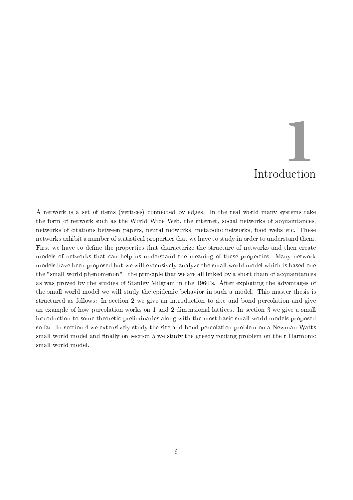# Introduction **1**

A network is a set of items (vertices) connected by edges. In the real world many systems take the form of network such as the World Wide Web, the internet, social networks of acquaintances, networks of citations between papers, neural networks, metabolic networks, food webs etc. These networks exhibit a number of statistical properties that we have to study in order to understand them. First we have to define the properties that characterize the structure of networks and then create models of networks that can help us understand the meaning of these properties. Many network models have been proposed but we will extensively analyze the small world model which is based one the "small-world phenomenon" - the principle that we are all linked by a short chain of acquaintances as was proved by the studies of Stanley Milgram in the 1960's. After exploiting the advantages of the small world model we will study the epidemic behavior in such a model. This master thesis is structured as follows: In section 2 we give an introduction to site and bond percolation and give an example of how percolation works on 1 and 2 dimensional lattices. In section 3 we give a small introduction to some theoretic preliminaries along with the most basic small world models proposed so far. In section 4 we extensively study the site and bond percolation problem on a Newman-Watts small world model and finally on section 5 we study the greedy routing problem on the r-Harmonic small world model.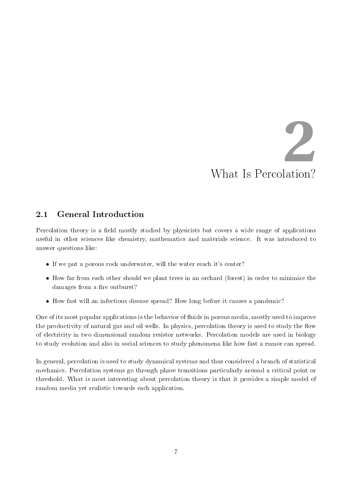# What Is Percolation? **2**

# 2.1 General Introduction

Percolation theory is a field mostly studied by physicists but covers a wide range of applications useful in other sciences like chemistry, mathematics and materials science. It was introduced to answer questions like:

- If we put a porous rock underwater, will the water reach it's center?
- How far from each other should we plant trees in an orchard (forest) in order to minimize the damages from a fire outburst?
- How fast will an infectious disease spread? How long before it causes a pandemic?

One of its most popular applications is the behavior of fluids in porous media, mostly used to improve the productivity of natural gas and oil wells. In physics, percolation theory is used to study the flow of electricity in two dimensional random resistor networks. Percolation models are used in biology to study evolution and also in social sciences to study phenomena like how fast a rumor can spread.

In general, percolation is used to study dynamical systems and thus considered a branch of statistical mechanics. Percolation systems go through phase transitions particularly around a critical point or threshold. What is most interesting about percolation theory is that it provides a simple model of random media yet realistic towards each application.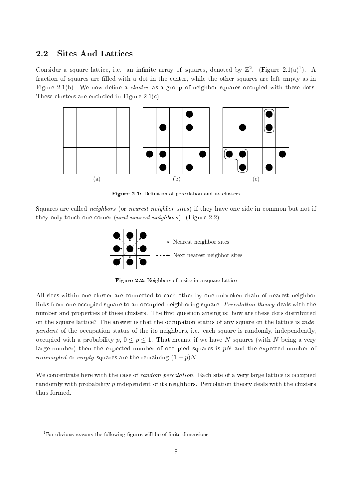## 2.2 Sites And Lattices

Consider a square lattice, i.e. an infinite array of squares, denoted by  $\mathbb{Z}^2$ . (Figure 2.1(a)<sup>1</sup>). A fraction of squares are filled with a dot in the center, while the other squares are left empty as in Figure 2.1(b). We now define a *cluster* as a group of neighbor squares occupied with these dots. These clusters are encircled in Figure 2.1(c).



Figure 2.1: Definition of percolation and its clusters

Squares are called *neighbors* (or *nearest neighbor sites*) if they have one side in common but not if they only touch one corner (next nearest neighbors). (Figure 2.2)



Figure 2.2: Neighbors of a site in a square lattice

All sites within one cluster are connected to each other by one unbroken chain of nearest neighbor links from one occupied square to an occupied neighboring square. *Percolation theory* deals with the number and properties of these clusters. The first question arising is: how are these dots distributed on the square lattice? The answer is that the occupation status of any square on the lattice is *inde*pendent of the occupation status of the its neighbors, i.e. each square is randomly, independently, occupied with a probability  $p, 0 \leq p \leq 1$ . That means, if we have *N* squares (with *N* being a very large number) then the expected number of occupied squares is *pN* and the expected number of unoccupied or empty squares are the remaining  $(1-p)N$ .

We concentrate here with the case of *random percolation*. Each site of a very large lattice is occupied randomly with probability *p* independent of its neighbors. Percolation theory deals with the clusters thus formed.

<sup>&</sup>lt;sup>1</sup>For obvious reasons the following figures will be of finite dimensions.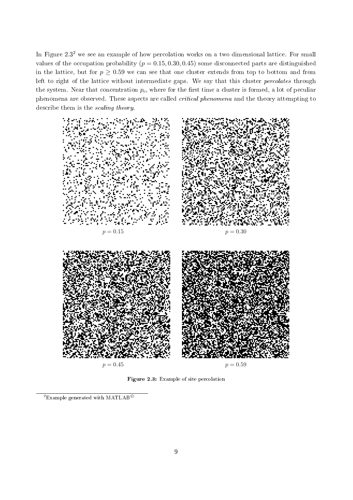In Figure  $2.3<sup>2</sup>$  we see an example of how percolation works on a two dimensional lattice. For small values of the occupation probability  $(p = 0.15, 0.30, 0.45)$  some disconnected parts are distinguished in the lattice, but for  $p \geq 0.59$  we can see that one cluster extends from top to bottom and from left to right of the lattice without intermediate gaps. We say that this cluster *percolates* through the system. Near that concentration  $p_c$ , where for the first time a cluster is formed, a lot of peculiar phenomena are observed. These aspects are called critical phenomena and the theory attempting to describe them is the scaling theory.



Figure 2.3: Example of site percolation

<sup>2</sup>Example generated with MATLAB*⃝*<sup>c</sup>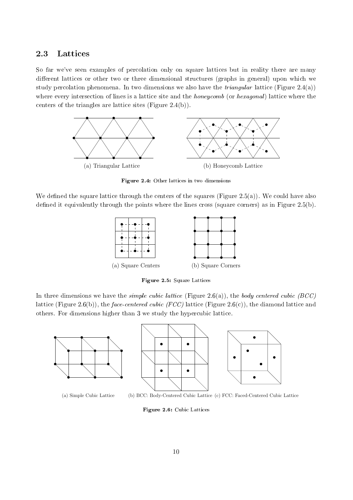## 2.3 Lattices

So far we've seen examples of percolation only on square lattices but in reality there are many different lattices or other two or three dimensional structures (graphs in general) upon which we study percolation phenomena. In two dimensions we also have the *triangular* lattice (Figure 2.4(a)) where every intersection of lines is a lattice site and the *honeycomb* (or *hexagonal*) lattice where the centers of the triangles are lattice sites (Figure 2.4(b)).



Figure 2.4: Other lattices in two dimensions

We defined the square lattice through the centers of the squares (Figure 2.5(a)). We could have also defined it equivalently through the points where the lines cross (square corners) as in Figure 2.5(b).



Figure 2.5: Square Lattices

In three dimensions we have the *simple cubic lattice* (Figure 2.6(a)), the *body centered cubic (BCC)* lattice (Figure 2.6(b)), the face-centered cubic (FCC) lattice (Figure 2.6(c)), the diamond lattice and others. For dimensions higher than 3 we study the hypercubic lattice.



(a) Simple Cubic Lattice (b) BCC: Body-Centered Cubic Lattice (c) FCC: Faced-Centered Cubic Lattice

Figure 2.6: Cubic Lattices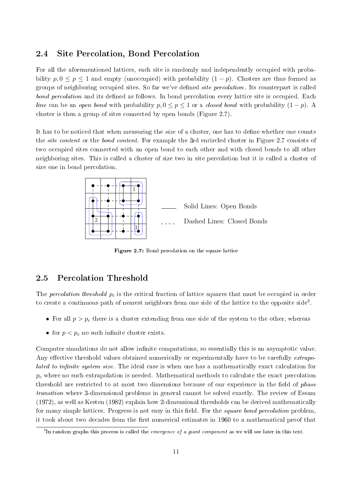# 2.4 Site Percolation, Bond Percolation

For all the aforementioned lattices, each site is randomly and independently occupied with probability  $p, 0 \leq p \leq 1$  and empty (unoccupied) with probability  $(1-p)$ . Clusters are thus formed as groups of neighboring occupied sites. So far we've defined *site percolation*. Its counterpart is called bond percolation and its defined as follows. In bond percolation every lattice site is occupied. Each line can be an open bond with probability  $p, 0 \leq p \leq 1$  or a *closed bond* with probability  $(1 - p)$ . A cluster is then a group of sites connected by open bonds (Figure 2.7).

It has to be noticed that when measuring the *size* of a cluster, one has to define whether one counts the *site content* or the *bond content*. For example the 3rd encircled cluster in Figure 2.7 consists of two occupied sites connected with an open bond to each other and with closed bonds to all other neighboring sites. This is called a cluster of size two in site percolation but it is called a cluster of size one in bond percolation.



Figure 2.7: Bond percolation on the square lattice

# 2.5 Percolation Threshold

The percolation threshold *p<sup>c</sup>* is the critical fraction of lattice squares that must be occupied in order to create a continuous path of nearest neighbors from one side of the lattice to the opposite side<sup>3</sup>.

- For all  $p > p_c$  there is a cluster extending from one side of the system to the other, whereas
- for  $p < p_c$  no such infinite cluster exists.

Computer simulations do not allow infinite computations, so essentially this is an asymptotic value. Any effective threshold values obtained numerically or experimentally have to be carefully extrapolated to infinite system size. The ideal case is when one has a mathematically exact calculation for  $p_c$  where no such extrapolation is needed. Mathematical methods to calculate the exact percolation threshold are restricted to at most two dimensions because of our experience in the field of *phase* transition where 3-dimensional problems in general cannot be solved exactly. The review of Essam (1972), as well as Kesten (1982) explain how 2-dimensional thresholds can be derived mathematically for many simple lattices. Progress is not easy in this field. For the *square bond percolation* problem it took about two decades from the first numerical estimates in 1960 to a mathematical proof that

 $^3{\rm In}$  random graphs this process is called the *emergence of a giant component* as we will see later in this text.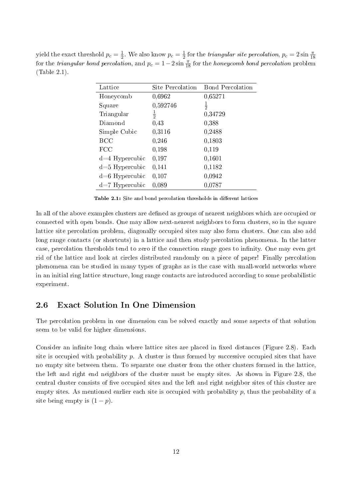yield the exact threshold  $p_c = \frac{1}{2}$  $\frac{1}{2}$ . We also know  $p_c = \frac{1}{2}$  $\frac{1}{2}$  for the *triangular site percolation*,  $p_c = 2 \sin \frac{\pi}{18}$ for the *triangular bond percolation*, and  $p_c = 1 - 2 \sin \frac{\pi}{18}$  for the *honeycomb bond percolation* problem (Table 2.1).

| Lattice          | Site Percolation | <b>Bond Percolation</b> |
|------------------|------------------|-------------------------|
| Honeycomb        | 0,6962           | 0,65271                 |
| Square           | 0,592746         | $\frac{1}{2}$           |
| Triangular       | $\frac{1}{2}$    | 0,34729                 |
| Diamond          | 0,43             | 0,388                   |
| Simple Cubic     | 0,3116           | 0,2488                  |
| <b>BCC</b>       | 0,246            | 0,1803                  |
| FCC              | 0,198            | 0,119                   |
| $d=4$ Hypercubic | 0,197            | 0,1601                  |
| d=5 Hypercubic   | 0,141            | 0,1182                  |
| $d=6$ Hypercubic | 0,107            | 0,0942                  |
| $d=7$ Hypercubic | 0,089            | 0,0787                  |

Table 2.1: Site and bond percolation thresholds in different lattices

In all of the above examples clusters are defined as groups of nearest neighbors which are occupied or connected with open bonds. One may allow next-nearest neighbors to form clusters, so in the square lattice site percolation problem, diagonally occupied sites may also form clusters. One can also add long range contacts (or shortcuts) in a lattice and then study percolation phenomena. In the latter case, percolation thresholds tend to zero if the connection range goes to infinity. One may even get rid of the lattice and look at circles distributed randomly on a piece of paper! Finally percolation phenomena can be studied in many types of graphs as is the case with small-world networks where in an initial ring lattice structure, long range contacts are introduced according to some probabilistic experiment.

# 2.6 Exact Solution In One Dimension

The percolation problem in one dimension can be solved exactly and some aspects of that solution seem to be valid for higher dimensions.

Consider an infinite long chain where lattice sites are placed in fixed distances (Figure 2.8). Each site is occupied with probability *p*. A cluster is thus formed by successive occupied sites that have no empty site between them. To separate one cluster from the other clusters formed in the lattice, the left and right end neighbors of the cluster must be empty sites. As shown in Figure 2.8, the central cluster consists of five occupied sites and the left and right neighbor sites of this cluster are empty sites. As mentioned earlier each site is occupied with probability *p*, thus the probability of a site being empty is  $(1 - p)$ .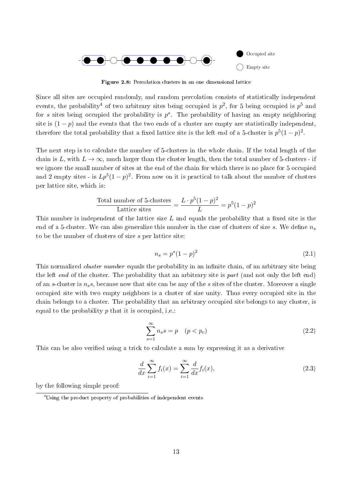

Figure 2.8: Percolation clusters in an one dimensional lattice

Since all sites are occupied randomly, and random percolation consists of statistically independent events, the probability<sup>4</sup> of two arbitrary sites being occupied is  $p^2$ , for 5 being occupied is  $p^5$  and for *s* sites being occupied the probability is *p s* . The probability of having an empty neighboring site is  $(1-p)$  and the events that the two ends of a cluster are empty are statistically independent therefore the total probability that a fixed lattice site is the left end of a 5-cluster is  $p^5(1-p)^2$ .

The next step is to calculate the number of 5-clusters in the whole chain. If the total length of the chain is *L*, with  $L \to \infty$ , much larger than the cluster length, then the total number of 5-clusters - if we ignore the small number of sites at the end of the chain for which there is no place for 5 occupied and 2 empty sites - is  $Lp^{5}(1-p)^{2}$ . From now on it is practical to talk about the number of clusters per lattice site, which is:

Total number of 5-clusters 
$$
= \frac{L \cdot p^5 (1-p)^2}{L} = p^5 (1-p)^2
$$

This number is independent of the lattice size L and equals the probability that a fixed site is the end of a 5-cluster. We can also generalize this number in the case of clusters of size  $s$ . We define  $n<sub>s</sub>$ to be the number of clusters of size *s* per lattice site:

$$
n_s = p^s (1 - p)^2 \tag{2.1}
$$

This normalized *cluster number* equals the probability in an infinite chain, of an arbitrary site being the left end of the cluster. The probability that an arbitrary site is part (and not only the left end) of an *s*-cluster is *nss*, because now that site can be any of the *s* sites of the cluster. Moreover a single occupied site with two empty neighbors is a cluster of size unity. Thus every occupied site in the chain belongs to a cluster. The probability that an arbitrary occupied site belongs to any cluster, is equal to the probability *p* that it is occupied, i.e.:

$$
\sum_{s=1}^{\infty} n_s s = p \quad (p < p_c) \tag{2.2}
$$

This can be also verified using a trick to calculate a sum by expressing it as a derivative

$$
\frac{d}{dx}\sum_{i=1}^{\infty}f_i(x) = \sum_{i=1}^{\infty}\frac{d}{dx}f_i(x),\tag{2.3}
$$

by the following simple proof:

<sup>4</sup>Using the product property of probabilities of independent events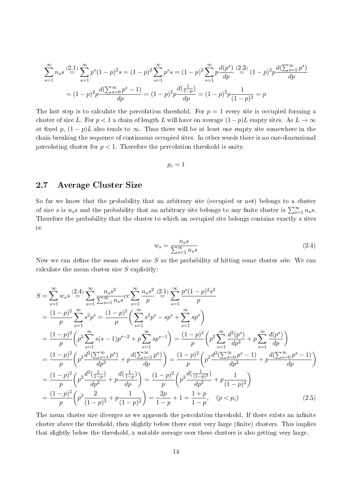$$
\sum_{s=1}^{\infty} n_s s \stackrel{(2.1)}{=} \sum_{s=1}^{\infty} p^s (1-p)^2 s = (1-p)^2 \sum_{s=1}^{\infty} p^s s = (1-p)^2 \sum_{s=1}^{\infty} p \frac{d(p^s)}{dp} \stackrel{(2.3)}{=} (1-p)^2 p \frac{d(\sum_{s=1}^{\infty} p^s)}{dp}
$$

$$
= (1-p)^2 p \frac{d(\sum_{s=0}^{\infty} p^s - 1)}{dp} = (1-p)^2 p \frac{d(\frac{1}{1-p})}{dp} = (1-p)^2 p \frac{1}{(1-p)^2} = p
$$

The last step is to calculate the percolation threshold. For  $p = 1$  every site is occupied forming a cluster of size *L*. For  $p < 1$  a chain of length *L* will have on average  $(1-p)L$  empty sites. As  $L \to \infty$ at fixed p,  $(1-p)L$  also tends to  $\infty$ . Thus there will be at least one empty site somewhere in the chain breaking the sequence of continuous occupied sites. In other words there is no one-dimensional percolating cluster for *p <* 1. Therefore the percolation threshold is unity.

$$
p_c=1
$$

# 2.7 Average Cluster Size

So far we know that the probability that an arbitrary site (occupied or not) belongs to a cluster of size *s* is  $n_s s$  and the probability that an arbitrary site belongs to any finite cluster is  $\sum_{s=1}^{\infty} n_s s$ . Therefore the probability that the cluster to which an occupied site belongs contains exactly *s* sites is:

$$
w_s = \frac{n_s s}{\sum_{s=1}^{\infty} n_s s} \tag{2.4}
$$

Now we can define the *mean cluster size* S as the probability of hitting some cluster *site*. We can calculate the mean cluster size *S* explicitly:

$$
S = \sum_{s=1}^{\infty} w_s s \stackrel{(2.4)}{=} \sum_{s=1}^{\infty} \frac{n_s s^2}{\sum_{s=1}^{\infty} n_s s} c \sum_{s=1}^{\infty} \frac{n_s s^2}{p} \stackrel{(2.1)}{=} \sum_{s=1}^{\infty} \frac{p^s (1-p)^2 s^2}{p}
$$
  
\n
$$
= \frac{(1-p)^2}{p} \sum_{s=1}^{\infty} s^2 p^s = \frac{(1-p)^2}{p} \left( \sum_{s=1}^{\infty} s^2 p^s - s p^s + \sum_{s=1}^{\infty} s p^s \right)
$$
  
\n
$$
= \frac{(1-p)^2}{p} \left( p^2 \sum_{s=1}^{\infty} s (s-1) p^{s-2} + p \sum_{s=1}^{\infty} s p^{s-1} \right) = \frac{(1-p)^2}{p} \left( p^2 \sum_{s=1}^{\infty} \frac{d^2 (p^s)}{dp^2} + p \sum_{s=1}^{\infty} \frac{d (p^s)}{dp} \right)
$$
  
\n
$$
= \frac{(1-p)^2}{p} \left( p^2 \frac{d^2 (\sum_{s=1}^{\infty} p^s)}{dp^2} + p \frac{d (\sum_{s=1}^{\infty} p^s)}{dp} \right) = \frac{(1-p)^2}{p} \left( p^2 \frac{d^2 (\sum_{s=0}^{\infty} p^s - 1)}{dp^2} + p \frac{d (\sum_{s=0}^{\infty} p^s - 1)}{dp} \right)
$$
  
\n
$$
= \frac{(1-p)^2}{p} \left( p^2 \frac{d^2 (\frac{1}{1-p})}{dp^2} + p \frac{d (\frac{1}{1-p})}{dp} \right) = \frac{(1-p)^2}{p} \left( p^2 \frac{d^2 (\frac{1}{1-p})}{dp^2} + p \frac{1}{(1-p)^2} \right)
$$
  
\n
$$
= \frac{(1-p)^2}{p} \left( p^2 \frac{2}{(1-p)^3} + p \frac{1}{(1-p)^2} \right) = \frac{2p}{1-p} + 1 = \frac{1+p}{1-p}, \quad (p < p_c) \tag{2.5}
$$

The mean cluster size diverges as we approach the percolation threshold. If there exists an infinite cluster above the threshold, then slightly below there exist very large (finite) clusters. This implies that slightly below the threshold, a suitable average over these clusters is also getting very large.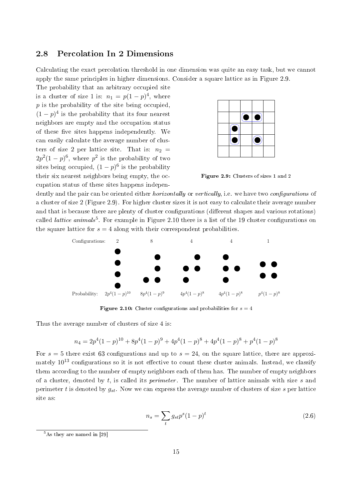# 2.8 Percolation In 2 Dimensions

Calculating the exact percolation threshold in one dimension was quite an easy task, but we cannot apply the same principles in higher dimensions. Consider a square lattice as in Figure 2.9.

The probability that an arbitrary occupied site is a cluster of size 1 is:  $n_1 = p(1-p)^4$ , where *p* is the probability of the site being occupied,  $(1-p)^4$  is the probability that its four nearest neighbors are empty and the occupation status of these five sites happens independently. We can easily calculate the average number of clusters of size 2 per lattice site. That is:  $n_2 =$  $2p^2(1-p)^6$ , where  $p^2$  is the probability of two sites being occupied,  $(1-p)^6$  is the probability their six nearest neighbors being empty, the occupation status of these sites happens indepen-



Figure 2.9: Clusters of sizes 1 and 2

dently and the pair can be oriented either *horizontally* or vertically, i.e. we have two configurations of a cluster of size 2 (Figure 2.9). For higher cluster sizes it is not easy to calculate their average number and that is because there are plenty of cluster configurations (different shapes and various rotations) called *lattice animals*<sup>5</sup>. For example in Figure 2.10 there is a list of the 19 cluster configurations on the square lattice for  $s = 4$  along with their correspondent probabilities.



Figure 2.10: Cluster configurations and probabilities for  $s = 4$ 

Thus the average number of clusters of size 4 is:

$$
n_4 = 2p^4(1-p)^{10} + 8p^4(1-p)^9 + 4p^4(1-p)^8 + 4p^4(1-p)^8 + p^4(1-p)^8
$$

For  $s = 5$  there exist 63 configurations and up to  $s = 24$ , on the square lattice, there are approximately  $10^{13}$  configurations so it is not effective to count these cluster animals. Instead, we classify them according to the number of empty neighbors each of them has. The number of empty neighbors of a cluster, denoted by *t*, is called its perimeter . The number of lattice animals with size *s* and perimeter *t* is denoted by *gst*. Now we can express the average number of clusters of size *s* per lattice site as:

$$
n_s = \sum_t g_{st} p^s (1-p)^t \tag{2.6}
$$

<sup>5</sup>As they are named in [29]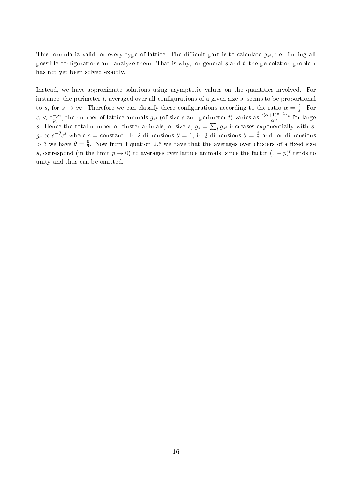This formula ia valid for every type of lattice. The difficult part is to calculate  $g_{st}$ , i.e. finding all possible configurations and analyze them. That is why, for general  $s$  and  $t$ , the percolation problem has not yet been solved exactly.

Instead, we have approximate solutions using asymptotic values on the quantities involved. For instance, the perimeter  $t$ , averaged over all configurations of a given size  $s$ , seems to be proportional to *s*, for  $s \to \infty$ . Therefore we can classify these configurations according to the ratio  $\alpha = \frac{t}{s}$  $\frac{t}{s}$ . For  $\alpha < \frac{1-p_c}{p_c}$ , the number of lattice animals  $g_{st}$  (of size *s* and perimeter *t*) varies as  $\left[\frac{(\alpha+1)^{\alpha+1}}{\alpha^{\alpha}}\right]$ <sup>s</sup> for large *s*. Hence the total number of cluster animals, of size *s*,  $g_s = \sum_t g_{st}$  increases exponentially with *s*:  $g_s \propto s^{-\theta} c^s$  where  $c = \text{constant}$ . In 2 dimensions  $\theta = 1$ , in 3 dimensions  $\theta = \frac{3}{2}$  $\frac{3}{2}$  and for dimensions  $>$  3 we have  $\theta = \frac{5}{2}$  $\frac{5}{2}$ . Now from Equation 2.6 we have that the averages over clusters of a fixed size *s*, correspond (in the limit  $p \to 0$ ) to averages over lattice animals, since the factor  $(1 - p)^t$  tends to unity and thus can be omitted.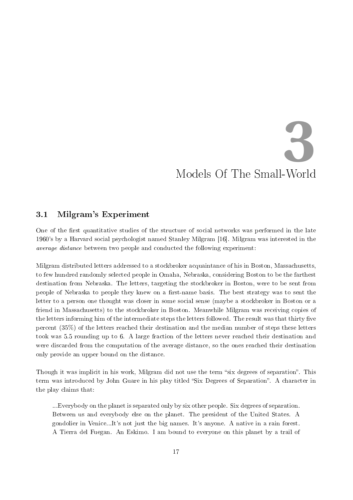# Models Of The Small-World **3**

# 3.1 Milgram's Experiment

One of the first quantitative studies of the structure of social networks was performed in the late 1960's by a Harvard social psychologist named Stanley Milgram [16]. Milgram was interested in the average distance between two people and conducted the following experiment:

Milgram distributed letters addressed to a stockbroker acquaintance of his in Boston, Massachusetts, to few hundred randomly selected people in Omaha, Nebraska, considering Boston to be the farthest destination from Nebraska. The letters, targeting the stockbroker in Boston, were to be sent from people of Nebraska to people they knew on a first-name basis. The best strategy was to sent the letter to a person one thought was closer in some social sense (maybe a stockbroker in Boston or a friend in Massachusetts) to the stockbroker in Boston. Meanwhile Milgram was receiving copies of the letters informing him of the intermediate steps the letters followed. The result was that thirty five percent (35%) of the letters reached their destination and the median number of steps these letters took was 5.5 rounding up to 6. A large fraction of the letters never reached their destination and were discarded from the computation of the average distance, so the ones reached their destination only provide an upper bound on the distance.

Though it was implicit in his work, Milgram did not use the term "six degrees of separation". This term was introduced by John Guare in his play titled "Six Degrees of Separation". A character in the play claims that:

...Everybody on the planet is separated only by six other people. Six degrees of separation. Between us and everybody else on the planet. The president of the United States. A gondolier in Venice...It's not just the big names. It's anyone. A native in a rain forest. A Tierra del Fuegan. An Eskimo. I am bound to everyone on this planet by a trail of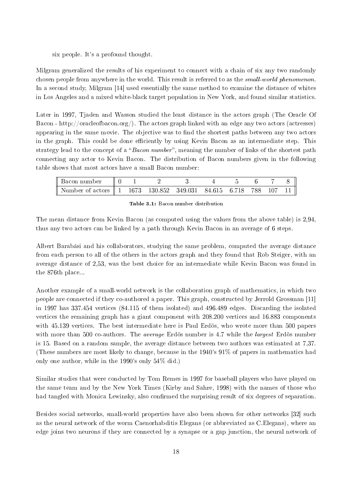#### six people. It's a profound thought.

Milgram generalized the results of his experiment to connect with a chain of six any two randomly chosen people from anywhere in the world. This result is referred to as the *small-world phenomenon* In a second study, Milgram [14] used essentially the same method to examine the distance of whites in Los Angeles and a mixed white-black target population in New York, and found similar statistics.

Later in 1997, Tiaden and Wasson studied the least distance in the actors graph (The Oracle Of Bacon - http://oracleofbacon.org/). The actors graph linked with an edge any two actors (actresses) appearing in the same movie. The objective was to find the shortest paths between any two actors in the graph. This could be done efficiently by using Kevin Bacon as an intermediate step. This strategy lead to the concept of a "Bacon number", meaning the number of links of the shortest path connecting any actor to Kevin Bacon. The distribution of Bacon numbers given in the following table shows that most actors have a small Bacon number:

| Bacon number                                                     |  |  |  |         |  |
|------------------------------------------------------------------|--|--|--|---------|--|
| Number of actors $\parallel$ 1 1673 130.852 349.031 84.615 6.718 |  |  |  | 788 107 |  |

Table 3.1: Bacon number distribution

The mean distance from Kevin Bacon (as computed using the values from the above table) is 2,94, thus any two actors can be linked by a path through Kevin Bacon in an average of 6 steps.

Albert Barabási and his collaborators, studying the same problem, computed the average distance from each person to all of the others in the actors graph and they found that Rob Steiger, with an average distance of 2,53, was the best choice for an intermediate while Kevin Bacon was found in the 876th place...

Another example of a small-world network is the collaboration graph of mathematics, in which two people are connected if they co-authored a paper. This graph, constructed by Jerrold Grossman [11] in 1997 has 337.454 vertices (84.115 of them isolated) and 496.489 edges. Discarding the isolated vertices the remaining graph has a giant component with 208.200 vertices and 16.883 components with 45.139 vertices. The best intermediate here is Paul Erdös, who wrote more than 500 papers with more than 500 co-authors. The *average* Erdös number is 4.7 while the *largest* Erdös number is 15. Based on a random sample, the average distance between two authors was estimated at 7,37. (These numbers are most likely to change, because in the 1940's 91% of papers in mathematics had only one author, while in the 1990's only 54% did.)

Similar studies that were conducted by Tom Remes in 1997 for baseball players who have played on the same team and by the New York Times (Kirby and Sahre, 1998) with the names of those who had tangled with Monica Lewinsky, also confirmed the surprising result of six degrees of separation.

Besides social networks, small-world properties have also been shown for other networks [32] such as the neural network of the worm Caenorhabditis Elegans (or abbreviated as C.Elegans), where an edge joins two neurons if they are connected by a synapse or a gap junction, the neural network of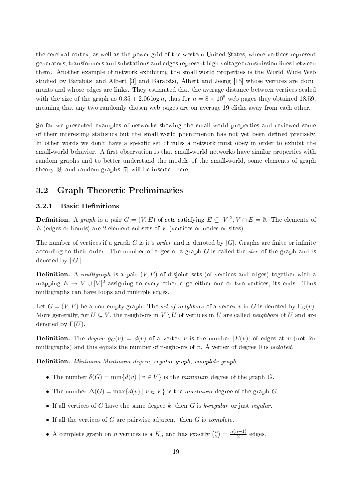the cerebral cortex, as well as the power grid of the western United States, where vertices represent generators, transformers and substations and edges represent high voltage transmission lines between them. Another example of network exhibiting the small-world properties is the World Wide Web studied by Barabási and Albert [3] and Barabási, Albert and Jeong [15] whose vertices are documents and whose edges are links. They estimated that the average distance between vertices scaled with the size of the graph as  $0.35 + 2.06 \log n$ , thus for  $n = 8 \times 10^8$  web pages they obtained 18.59 meaning that any two randomly chosen web pages are on average 19 clicks away from each other.

So far we presented examples of networks showing the small-world properties and reviewed some of their interesting statistics but the small-world phenomenon has not yet been dened precisely. In other words we don't have a specific set of rules a network must obey in order to exhibit the small-world behavior. A first observation is that small-world networks have similar properties with random graphs and to better understand the models of the small-world, some elements of graph theory [8] and random graphs [7] will be inserted here.

# 3.2 Graph Theoretic Preliminaries

#### 3.2.1 Basic Definitions

**Definition.** A graph is a pair  $G = (V, E)$  of sets satisfying  $E \subseteq [V]^2, V \cap E = \emptyset$ . The elements of *E* (edges or bonds) are 2-element subsets of *V* (vertices or nodes or sites).

The number of vertices if a graph *G* is it's *order* and is denoted by  $|G|$ . Graphs are finite or infinite according to their order. The number of edges of a graph *G* is called the size of the graph and is denoted by *||G||*.

**Definition.** A *multigraph* is a pair  $(V, E)$  of disjoint sets (of vertices and edges) together with a mapping  $E \to V \cup [V]^2$  assigning to every other edge either one or two vertices, its ends. Thus multigraphs can have loops and multiple edges.

Let  $G = (V, E)$  be a non-empty graph. The set of neighbors of a vertex v in G is denoted by  $\Gamma_G(v)$ . More generally, for  $U \subseteq V$ , the neighbors in  $V \setminus U$  of vertices in *U* are called *neighbors* of *U* and are denoted by Γ(*U*).

**Definition.** The *degree*  $g_G(v) = d(v)$  of a vertex *v* is the number  $|E(v)|$  of edges at *v* (not for multigraphs) and this equals the number of neighbors of *v*. A vertex of degree 0 is isolated.

Definition. Minimum-Maximum degree, regular graph, complete graph.

- The number  $\delta(G) = \min\{d(v) | v \in V\}$  is the *minimum* degree of the graph *G*.
- The number  $\Delta(G) = \max\{d(v) \mid v \in V\}$  is the maximum degree of the graph *G*.
- *•* If all vertices of *G* have the same degree *k*, then *G* is *k*-regular or just regular.
- *•* If all the vertices of *G* are pairwise adjacent, then *G* is complete.
- A complete graph on *n* vertices is a  $K_n$  and has exactly  $\binom{n}{2}$  $\binom{n}{2} = \frac{n(n-1)}{2}$  edges.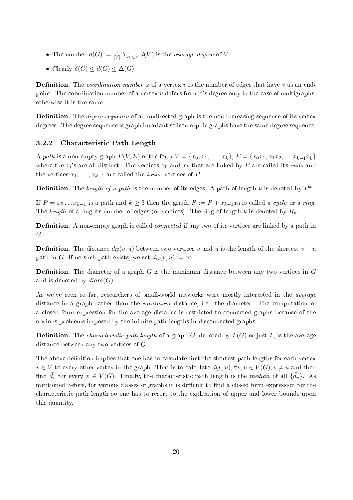- The number  $d(G) := \frac{1}{|V|} \sum_{v \in V} d(V)$  is the *average degree* of *V*.
- Clearly  $\delta(G) \leq d(G) \leq \Delta(G)$ .

**Definition.** The *coordination number* z of a vertex v is the number of edges that have v as an endpoint. The coordination number of a vertex  $v$  differs from it's degree only in the case of multigraphs otherwise it is the same.

**Definition.** The *degree sequence* of an undirected graph is the non-increasing sequence of its vertex degrees. The degree sequence is graph invariant so isomorphic graphs have the same degree sequence.

## 3.2.2 Characteristic Path Length

A path is a non-empty graph  $P(V, E)$  of the form  $V = \{x_0, x_1, \ldots, x_k\}, E = \{x_0x_1, x_1x_2, \ldots x_{k-1}x_k\}$ where the  $x_i$ 's are all distinct. The vertices  $x_0$  and  $x_k$  that are linked by  $P$  are called its *ends* and the vertices  $x_1, \ldots, x_{k-1}$  are called the *inner* vertices of *P*.

**Definition.** The length of a path is the number of its edges. A path of length  $k$  is denoted by  $P^k$ .

If  $P = x_0 \dots x_{k-1}$  is a path and  $k \geq 3$  then the graph  $R := P + x_{k-1}x_0$  is called a cycle or a ring. The length of a ring its number of edges (or vertices). The ring of length *k* is denoted by *Rk*.

**Definition.** A non-empty graph is called *connected* if any two of its vertices are linked by a path in *G*.

**Definition.** The distance  $d_G(v, u)$  between two vertices *v* and *u* is the length of the shortest  $v - u$ path in *G*. If no such path exists, we set  $d_G(v, u) := \infty$ .

**Definition.** The diameter of a graph *G* is the maximum distance between any two vertices in *G* and is denoted by *diam*(*G*).

As we've seen so far, researchers of small-world networks were mostly interested in the *average* distance in a graph rather than the maximum distance, i.e. the diameter. The computation of a closed form expression for the average distance is restricted to connected graphs because of the obvious problems imposed by the infinite path lengths in disconnected graphs.

**Definition.** The *characteristic path length* of a graph *G*, denoted by  $L(G)$  or just *L*, is the average distance between any two vertices of G.

The above definition implies that one has to calculate first the shortest path lengths for each vertex  $v \in V$  to every other vertex in the graph. That is to calculate  $d(v, u), \forall v, u \in V(G), v \neq u$  and then find  $\bar{d}_v$  for every  $v \in V(G)$ . Finally, the characteristic path length is the *median* of all  $\{\bar{d}_v\}$ . As mentioned before, for various classes of graphs it is difficult to find a closed form expression for the characteristic path length so one has to resort to the explication of upper and lower bounds upon this quantity.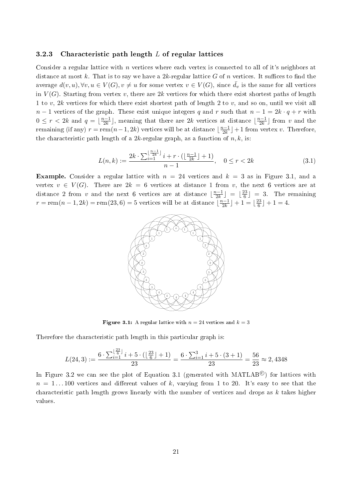#### 3.2.3 Characteristic path length *L* of regular lattices

Consider a regular lattice with *n* vertices where each vertex is connected to all of it's neighbors at distance at most k. That is to say we have a  $2k$ -regular lattice G of n vertices. It suffices to find the average  $d(v, u), \forall v, u \in V(G), v \neq u$  for some vertex  $v \in V(G)$ , since  $\bar{d}_v$  is the same for all vertices in  $V(G)$ . Starting from vertex *v*, there are 2*k* vertices for which there exist shortest paths of length 1 to *v*, 2*k* vertices for which there exist shortest path of length 2 to *v*, and so on, until we visit all *n* − 1 vertices of the graph. These exist unique integers *q* and *r* such that  $n - 1 = 2k \cdot q + r$  with  $0 \leq r < 2k$  and  $q = \lfloor \frac{n-1}{2k} \rfloor$ , meaning that there are 2*k* vertices at distance  $\lfloor \frac{n-1}{2k} \rfloor$  from *v* and the remaining (if any)  $r = \text{rem}(n-1, 2k)$  vertices will be at distance  $\lfloor \frac{n-1}{2k} \rfloor + 1$  from vertex *v*. Therefore, the characteristic path length of a  $2k$ -regular graph, as a function of  $n, k$ , is:

$$
L(n,k) := \frac{2k \cdot \sum_{i=1}^{\lfloor \frac{n-1}{2k} \rfloor} i + r \cdot (\lfloor \frac{n-1}{2k} \rfloor + 1)}{n-1}, \quad 0 \le r < 2k \tag{3.1}
$$

**Example.** Consider a regular lattice with  $n = 24$  vertices and  $k = 3$  as in Figure 3.1, and a vertex  $v \in V(G)$ . There are  $2k = 6$  vertices at distance 1 from *v*, the next 6 vertices are at distance 2 from *v* and the next 6 vertices are at distance  $\lfloor \frac{n-1}{2k} \rfloor = \lfloor \frac{23}{6} \rfloor$  $\left(\frac{23}{6}\right)$  = 3. The remaining  $r = \text{rem}(n-1, 2k) = \text{rem}(23, 6) = 5$  vertices will be at distance  $\lfloor \frac{n-1}{2k} \rfloor + 1 = \lfloor \frac{23}{6} \rfloor$  $\frac{23}{6}$  | + 1 = 4.



**Figure 3.1:** A regular lattice with  $n = 24$  vertices and  $k = 3$ 

Therefore the characteristic path length in this particular graph is:

$$
L(24,3) := \frac{6 \cdot \sum_{i=1}^{\lfloor \frac{23}{6} \rfloor} i + 5 \cdot (\lfloor \frac{23}{6} \rfloor + 1)}{23} = \frac{6 \cdot \sum_{i=1}^{3} i + 5 \cdot (3 + 1)}{23} = \frac{56}{23} \approx 2,4348
$$

In Figure 3.2 we can see the plot of Equation 3.1 (generated with MATLAB<sup>©</sup>) for lattices with  $n = 1...100$  vertices and different values of k, varying from 1 to 20. It's easy to see that the characteristic path length grows linearly with the number of vertices and drops as *k* takes higher values.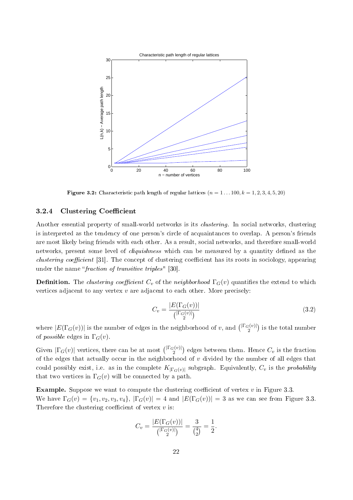

**Figure 3.2:** Characteristic path length of regular lattices  $(n = 1 ... 100, k = 1, 2, 3, 4, 5, 20)$ 

### 3.2.4 Clustering Coefficient

Another essential property of small-world networks is its *clustering*. In social networks, clustering is interpreted as the tendency of one person's circle of acquaintances to overlap. A person's friends are most likely being friends with each other. As a result, social networks, and therefore small-world networks, present some level of *cliquishness* which can be measured by a quantity defined as the *clustering coefficient* [31]. The concept of clustering coefficient has its roots in sociology, appearing under the name "*fraction of transitive triples*" [30].

**Definition.** The *clustering coefficient*  $C_v$  of the *neighborhood*  $\Gamma_G(v)$  quantifies the extend to which vertices adjacent to any vertex *v* are adjacent to each other. More precisely:

$$
C_v = \frac{|E(\Gamma_G(v))|}{\binom{|\Gamma_G(v)|}{2}}
$$
\n
$$
(3.2)
$$

where  $|E(\Gamma_G(v))|$  is the number of edges in the neighborhood of *v*, and  $\binom{|\Gamma_G(v)|}{2}$  is the total number of *possible* edges in  $\Gamma$ <sup>*G*</sup>(*v*).

Given  $|\Gamma_G(v)|$  vertices, there can be at most  $\binom{|\Gamma_G(v)|}{2}$  edges between them. Hence  $C_v$  is the fraction of the edges that actually occur in the neighborhood of *v* divided by the number of all edges that could possibly exist, i.e. as in the complete  $K_{|\Gamma_G(v)|}$  subgraph. Equivalently,  $C_v$  is the *probability* that two vertices in  $\Gamma_G(v)$  will be connected by a path.

**Example.** Suppose we want to compute the clustering coefficient of vertex  $v$  in Figure 3.3. We have  $\Gamma_G(v) = \{v_1, v_2, v_3, v_4\}, |\Gamma_G(v)| = 4$  and  $|E(\Gamma_G(v))| = 3$  as we can see from Figure 3.3. Therefore the clustering coefficient of vertex  $v$  is:

$$
C_v = \frac{|E(\Gamma_G(v))|}{\binom{|\Gamma_G(v)|}{2}} = \frac{3}{\binom{4}{2}} = \frac{1}{2}.
$$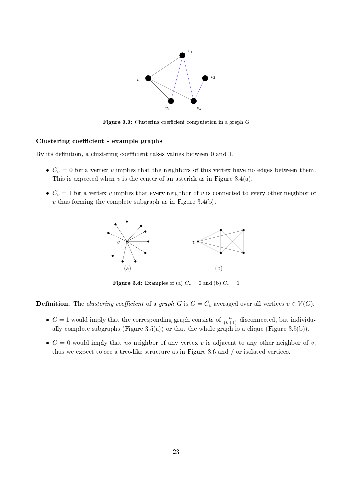

Figure 3.3: Clustering coefficient computation in a graph *G* 

#### Clustering coefficient - example graphs

By its definition, a clustering coefficient takes values between 0 and 1.

- $C_v = 0$  for a vertex *v* implies that the neighbors of this vertex have no edges between them. This is expected when  $v$  is the center of an asterisk as in Figure 3.4(a).
- $C_v = 1$  for a vertex *v* implies that every neighbor of *v* is connected to every other neighbor of *v* thus forming the complete subgraph as in Figure 3.4(b).



**Figure 3.4:** Examples of (a)  $C_v = 0$  and (b)  $C_v = 1$ 

**Definition.** The clustering coefficient of a graph *G* is  $C = \overline{C}_v$  averaged over all vertices  $v \in V(G)$ .

- $C = 1$  would imply that the corresponding graph consists of  $\frac{n}{(k+1)}$  disconnected, but individually complete subgraphs (Figure 3.5(a)) or that the whole graph is a clique (Figure 3.5(b)).
- $C = 0$  would imply that no neighbor of any vertex v is adjacent to any other neighbor of v, thus we expect to see a tree-like structure as in Figure 3.6 and */* or isolated vertices.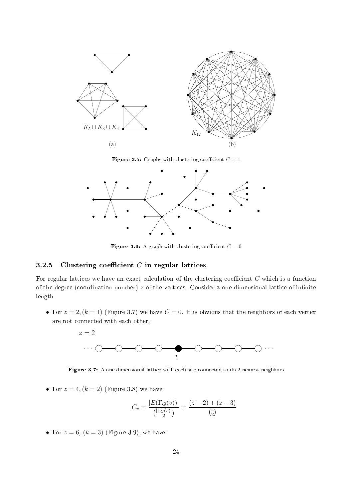

Figure 3.5: Graphs with clustering coefficient  $C = 1$ 



Figure 3.6: A graph with clustering coefficient  $C = 0$ 

### 3.2.5 Clustering coefficient  $C$  in regular lattices

For regular lattices we have an exact calculation of the clustering coefficient  $C$  which is a function of the degree (coordination number)  $z$  of the vertices. Consider a one-dimensional lattice of infinite length.

• For  $z = 2$ ,  $(k = 1)$  (Figure 3.7) we have  $C = 0$ . It is obvious that the neighbors of each vertex are not connected with each other.



Figure 3.7: A one-dimensional lattice with each site connected to its 2 nearest neighbors

• For  $z = 4$ ,  $(k = 2)$  (Figure 3.8) we have:

$$
C_v = \frac{|E(\Gamma_G(v))|}{\binom{|\Gamma_G(v)|}{2}} = \frac{(z-2) + (z-3)}{\binom{z}{2}}
$$

• For  $z = 6$ ,  $(k = 3)$  (Figure 3.9), we have: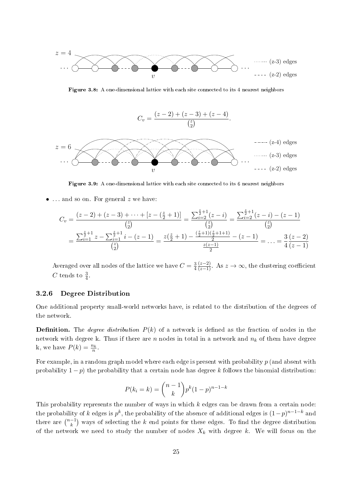

Figure 3.8: A one-dimensional lattice with each site connected to its 4 nearest neighbors



Figure 3.9: A one-dimensional lattice with each site connected to its 6 nearest neighbors

*• . . .* and so on. For general *z* we have:

$$
C_v = \frac{(z-2) + (z-3) + \dots + [z - (\frac{z}{2} + 1)]}{\binom{z}{2}} = \frac{\sum_{i=2}^{\frac{z}{2}+1} (z-i)}{\binom{z}{2}} = \frac{\sum_{i=2}^{\frac{z}{2}+1} (z-i) - (z-1)}{\binom{z}{2}}
$$

$$
= \frac{\sum_{i=1}^{\frac{z}{2}+1} z - \sum_{i=1}^{\frac{z}{2}+1} i - (z-1)}{\binom{z}{2}} = \frac{z(\frac{z}{2}+1) - \frac{(\frac{z}{2}+1)(\frac{z}{2}+1+1)}{2}}{z(z-1)} = \dots = \frac{3}{4} \frac{(z-2)}{(z-1)}
$$

Averaged over all nodes of the lattice we have  $C = \frac{3}{4}$  $\frac{3}{4} \frac{(z-2)}{(z-1)}$ . As  $z \to \infty$ , the clustering coefficient *C* tends to  $\frac{3}{4}$ .

#### 3.2.6 Degree Distribution

One additional property small-world networks have, is related to the distribution of the degrees of the network.

**Definition.** The *degree distribution*  $P(k)$  of a network is defined as the fraction of nodes in the network with degree k. Thus if there are *n* nodes in total in a network and *n<sup>k</sup>* of them have degree k, we have  $P(k) = \frac{n_k}{n}$ .

For example, in a random graph model where each edge is present with probability *p* (and absent with probability 1 *− p*) the probability that a certain node has degree *k* follows the binomial distribution:

$$
P(k_i = k) = \binom{n-1}{k} p^k (1-p)^{n-1-k}
$$

This probability represents the number of ways in which *k* edges can be drawn from a certain node: the probability of *k* edges is  $p^k$ , the probability of the absence of additional edges is  $(1-p)^{n-1-k}$  and there are  $\binom{n-1}{k}$  ways of selecting the *k* end points for these edges. To find the degree distribution of the network we need to study the number of nodes  $X_k$  with degree  $k$ . We will focus on the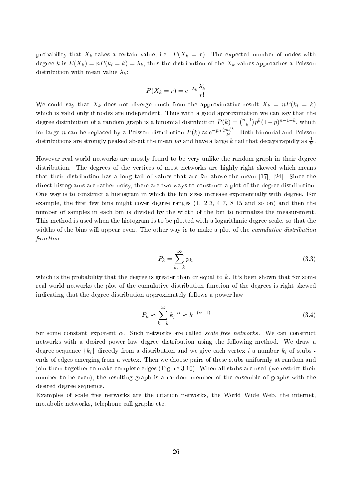probability that  $X_k$  takes a certain value, i.e.  $P(X_k = r)$ . The expected number of nodes with degree *k* is  $E(X_k) = nP(k_i = k) = \lambda_k$ , thus the distribution of the  $X_k$  values approaches a Poisson distribution with mean value  $\lambda_k$ :

$$
P(X_k = r) = e^{-\lambda_k} \frac{\lambda_k^r}{r!}
$$

We could say that  $X_k$  does not diverge much from the approximative result  $X_k = nP(k_i = k)$ which is valid only if nodes are independent. Thus with a good approximation we can say that the degree distribution of a random graph is a binomial distribution  $P(k) = \binom{n-1}{k} p^k (1-p)^{n-1-k}$ , which for large *n* can be replaced by a Poisson distribution  $P(k) \approx e^{-pn} \frac{(pn)^k}{k!}$ *k*! . Both binomial and Poisson distributions are strongly peaked about the mean *pn* and have a large *k*-tail that decays rapidly as  $\frac{1}{k!}$ .

However real world networks are mostly found to be very unlike the random graph in their degree distribution. The degrees of the vertices of most networks are highly right skewed which means that their distribution has a long tail of values that are far above the mean [17], [24]. Since the direct histograms are rather noisy, there are two ways to construct a plot of the degree distribution: One way is to construct a histogram in which the bin sizes increase exponentially with degree. For example, the first few bins might cover degree ranges  $(1, 2-3, 4-7, 8-15, 8-15)$  and so on) and then the number of samples in each bin is divided by the width of the bin to normalize the measurement. This method is used when the histogram is to be plotted with a logarithmic degree scale, so that the widths of the bins will appear even. The other way is to make a plot of the *cumulative distribution* function:

$$
P_k = \sum_{k_i=k}^{\infty} p_{k_i}
$$
\n(3.3)

which is the probability that the degree is greater than or equal to *k*. It's been shown that for some real world networks the plot of the cumulative distribution function of the degrees is right skewed indicating that the degree distribution approximately follows a power law

$$
P_k \backsim \sum_{k_i=k}^{\infty} k_i^{-\alpha} \backsim k^{-(\alpha-1)} \tag{3.4}
$$

for some constant exponent *α*. Such networks are called scale-free networks. We can construct networks with a desired power law degree distribution using the following method. We draw a degree sequence  $\{k_i\}$  directly from a distribution and we give each vertex *i* a number  $k_i$  of stubs ends of edges emerging from a vertex. Then we choose pairs of these stubs uniformly at random and join them together to make complete edges (Figure 3.10). When all stubs are used (we restrict their number to be even), the resulting graph is a random member of the ensemble of graphs with the desired degree sequence.

Examples of scale free networks are the citation networks, the World Wide Web, the internet, metabolic networks, telephone call graphs etc.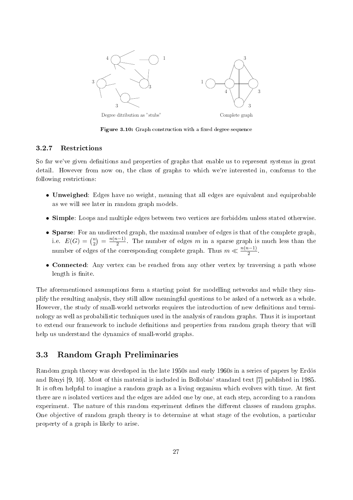

Figure 3.10: Graph construction with a fixed degree sequence

#### 3.2.7 Restrictions

So far we've given definitions and properties of graphs that enable us to represent systems in great detail. However from now on, the class of graphs to which we're interested in, conforms to the following restrictions:

- Unweighed: Edges have no weight, meaning that all edges are equivalent and equiprobable as we will see later in random graph models.
- Simple: Loops and multiple edges between two vertices are forbidden unless stated otherwise.
- **Sparse**: For an undirected graph, the maximal number of edges is that of the complete graph i.e.  $E(G) = {n \choose 2}$  $\binom{n}{2} = \frac{n(n-1)}{2}$ . The number of edges *m* in a sparse graph is much less than the number of edges of the corresponding complete graph. Thus  $m \ll \frac{n(n-1)}{2}$ .
- Connected: Any vertex can be reached from any other vertex by traversing a path whose length is finite.

The aforementioned assumptions form a starting point for modelling networks and while they simplify the resulting analysis, they still allow meaningful questions to be asked of a network as a whole. However, the study of small-world networks requires the introduction of new definitions and terminology as well as probabilistic techniques used in the analysis of random graphs. Thus it is important to extend our framework to include definitions and properties from random graph theory that will help us understand the dynamics of small-world graphs.

# 3.3 Random Graph Preliminaries

Random graph theory was developed in the late 1950s and early 1960s in a series of papers by Erdös and Rènyi [9, 10]. Most of this material is included in Bollobás' standard text [7] published in 1985. It is often helpful to imagine a random graph as a living organism which evolves with time. At first there are *n* isolated vertices and the edges are added one by one, at each step, according to a random experiment. The nature of this random experiment defines the different classes of random graphs. One objective of random graph theory is to determine at what stage of the evolution, a particular property of a graph is likely to arise.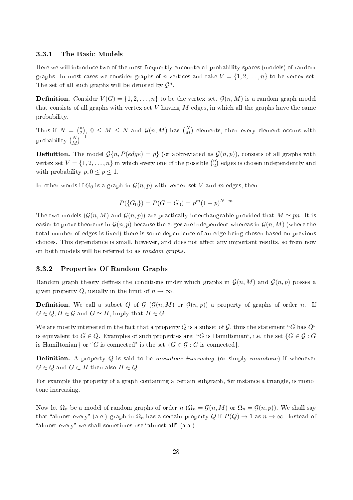#### 3.3.1 The Basic Models

Here we will introduce two of the most frequently encountered probability spaces (models) of random graphs. In most cases we consider graphs of *n* vertices and take  $V = \{1, 2, \ldots, n\}$  to be vertex set. The set of all such graphs will be denoted by  $\mathcal{G}^n$ .

**Definition.** Consider  $V(G) = \{1, 2, ..., n\}$  to be the vertex set.  $\mathcal{G}(n, M)$  is a random graph model that consists of all graphs with vertex set *V* having *M* edges, in which all the graphs have the same probability.

Thus if  $N = \binom{n}{2}$  $\mathcal{L}^{(n)}_{2}$ ,  $0 \leq M \leq N$  and  $\mathcal{G}(n, M)$  has  $\binom{N}{M}$  elements, then every element occurs with probability  $\binom{N}{M}^{-1}$ .

**Definition.** The model  $\mathcal{G}\{n, P(\text{edge}) = p\}$  (or abbreviated as  $\mathcal{G}(n, p)$ ), consists of all graphs with vertex set  $V = \{1, 2, \ldots, n\}$  in which every one of the possible  $\binom{n}{2}$  $n \choose 2$  edges is chosen independently and with probability  $p, 0 \leq p \leq 1$ .

In other words if  $G_0$  is a graph in  $\mathcal{G}(n, p)$  with vertex set V and m edges, then:

$$
P({G_0}) = P(G = G_0) = p^m (1 - p)^{N-m}
$$

The two models  $(\mathcal{G}(n, M)$  and  $\mathcal{G}(n, p))$  are practically interchangeable provided that  $M \simeq pn$ . It is easier to prove theorems in  $\mathcal{G}(n, p)$  because the edges are independent whereas in  $\mathcal{G}(n, M)$  (where the total number of edges is fixed) there is some dependence of an edge being chosen based on previous choices. This dependance is small, however, and does not affect any important results, so from now on both models will be referred to as random graphs.

### 3.3.2 Properties Of Random Graphs

Random graph theory defines the conditions under which graphs in  $\mathcal{G}(n, M)$  and  $\mathcal{G}(n, p)$  posses a given property *Q*, usually in the limit of  $n \to \infty$ .

**Definition.** We call a subset *Q* of *G* ( $G(n, M)$  or  $G(n, p)$ ) a property of graphs of order *n*. If  $G \in Q, H \in \mathcal{G}$  and  $G \simeq H$ , imply that  $H \in G$ .

We are mostly interested in the fact that a property  $Q$  is a subset of  $G$ , thus the statement " $G$  has  $Q^*$ is equivalent to  $G \in Q$ . Examples of such properties are: "*G* is Hamiltonian", i.e. the set  $\{G \in \mathcal{G} : G\}$ is Hamiltonian<sub>}</sub> or "*G* is connected" is the set  $\{G \in \mathcal{G} : G$  is connected}.

**Definition.** A property  $Q$  is said to be *monotone increasing* (or simply *monotone*) if whenever  $G ∈ Q$  and  $G ⊂ H$  then also  $H ∈ Q$ .

For example the property of a graph containing a certain subgraph, for instance a triangle, is monotone increasing.

Now let  $\Omega_n$  be a model of random graphs of order *n* ( $\Omega_n = \mathcal{G}(n, M)$  or  $\Omega_n = \mathcal{G}(n, p)$ ). We shall say that "almost every" (a.e.) graph in  $\Omega_n$  has a certain property *Q* if  $P(Q) \to 1$  as  $n \to \infty$ . Instead of "almost every" we shall sometimes use "almost all"  $(a.a.).$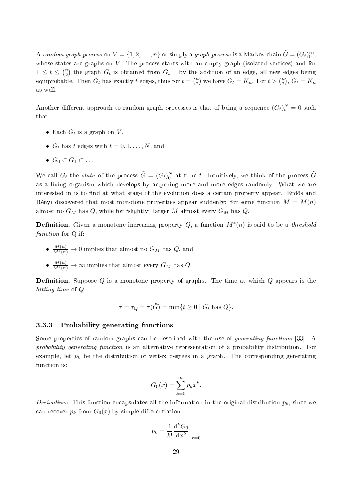A random graph process on  $V = \{1, 2, \ldots, n\}$  or simply a graph process is a Markov chain  $\tilde{G} = (G_t)_{0}^{\infty}$ , whose states are graphs on *V*. The process starts with an empty graph (isolated vertices) and for  $1 \le t \le \binom{n}{2}$  $\binom{n}{2}$  the graph  $G_t$  is obtained from  $G_{t-1}$  by the addition of an edge, all new edges being equiprobable. Then  $G_t$  has exactly  $t$  edges, thus for  $t = \binom{n}{2}$  $\binom{n}{2}$  we have  $G_t = K_n$ . For  $t > \binom{n}{2}$  $\binom{n}{2}, G_t = K_n$ as well.

Another different approach to random graph processes is that of being a sequence  $(G_t)^N_t = 0$  such that:

- Each  $G_t$  is a graph on  $V$ .
- $G_t$  has  $t$  edges with  $t = 0, 1, \ldots, N$ , and
- *• G*<sup>0</sup> *⊂ G*<sup>1</sup> *⊂ . . .*

We call  $G_t$  the *state* of the process  $\tilde{G} = (G_t)_0^N$  at time *t*. Intuitively, we think of the process  $\tilde{G}$ as a living organism which develops by acquiring more and more edges randomly. What we are interested in is to find at what stage of the evolution does a certain property appear. Erdös and Rènyi discovered that most monotone properties appear suddenly: for some function  $M = M(n)$ almost no  $G_M$  has  $Q$ , while for "slightly" larger  $M$  almost every  $G_M$  has  $Q$ .

**Definition.** Given a monotone increasing property  $Q$ , a function  $M^*(n)$  is said to be a *threshold* function for Q if:

- $\frac{M(n)}{M^*(n)} \to 0$  implies that almost no  $G_M$  has  $Q$ , and
- $\bullet$   $\frac{M(n)}{M^*(n)} \to \infty$  implies that almost every  $G_M$  has  $Q$ .

**Definition.** Suppose Q is a monotone property of graphs. The time at which Q appears is the hitting time of *Q*:

$$
\tau = \tau_Q = \tau(\tilde{G}) = \min\{t \ge 0 \mid G_t \text{ has } Q\}.
$$

#### 3.3.3 Probability generating functions

Some properties of random graphs can be described with the use of *generating functions* [33]. A probability generating function is an alternative representation of a probability distribution. For example, let  $p_k$  be the distribution of vertex degrees in a graph. The corresponding generating function is:

$$
G_0(x) = \sum_{k=0}^{\infty} p_k x^k.
$$

Derivatives. This function encapsulates all the information in the original distribution  $p_k$ , since we can recover  $p_k$  from  $G_0(x)$  by simple differentiation:

$$
p_k = \frac{1}{k!} \frac{\mathrm{d}^k G_0}{\mathrm{d} x^k} \bigg|_{x=0}
$$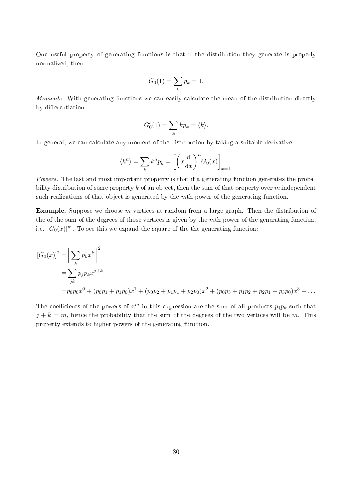One useful property of generating functions is that if the distribution they generate is properly normalized, then:

$$
G_0(1) = \sum_k p_k = 1.
$$

Moments. With generating functions we can easily calculate the mean of the distribution directly by differentiation:

$$
G_0'(1) = \sum_k k p_k = \langle k \rangle.
$$

In general, we can calculate any moment of the distribution by taking a suitable derivative:

$$
\langle k^n \rangle = \sum_k k^n p_k = \left[ \left( x \frac{\mathrm{d}}{\mathrm{d}x} \right)^n G_0(x) \right]_{x=1}.
$$

Powers. The last and most important property is that if a generating function generates the probability distribution of some property *k* of an object, then the sum of that property over *m* independent such realizations of that object is generated by the *m*th power of the generating function.

Example. Suppose we choose *m* vertices at random from a large graph. Then the distribution of the of the sum of the degrees of those vertices is given by the *m*th power of the generating function, i.e.  $[G_0(x)]^m$ . To see this we expand the square of the the generating function:

$$
[G_0(x)]^2 = \left[\sum_k p_k x^k\right]^2
$$
  
=  $\sum_{jk} p_j p_k x^{j+k}$   
=  $p_0 p_0 x^0 + (p_0 p_1 + p_1 p_0) x^1 + (p_0 p_2 + p_1 p_1 + p_2 p_0) x^2 + (p_0 p_3 + p_1 p_2 + p_2 p_1 + p_3 p_0) x^3 + \dots$ 

The coefficients of the powers of  $x^m$  in this expression are the sum of all products  $p_j p_k$  such that  $j + k = m$ , hence the probability that the sum of the degrees of the two vertices will be *m*. This property extends to higher powers of the generating function.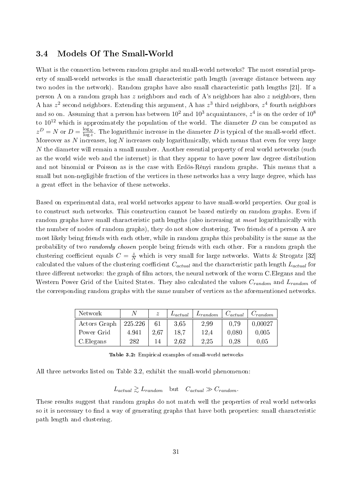## 3.4 Models Of The Small-World

What is the connection between random graphs and small-world networks? The most essential property of small-world networks is the small characteristic path length (average distance between any two nodes in the network). Random graphs have also small characteristic path lengths [21]. If a person A on a random graph has *z* neighbors and each of A's neighbors has also *z* neighbors, then A has *z* 2 second neighbors. Extending this argument, A has *z* 3 third neighbors, *z* 4 fourth neighbors and so on. Assuming that a person has between  $10^2$  and  $10^3$  acquaintances,  $z^4$  is on the order of  $10^8$ to  $10^{12}$  which is approximately the population of the world. The diameter *D* can be computed as  $z^D = N$  or  $D = \frac{\log_N}{\log z}$ . The logarithmic increase in the diameter *D* is typical of the small-world effect. Moreover as *N* increases, log *N* increases only logarithmically, which means that even for very large *N* the diameter will remain a small number. Another essential property of real world networks (such as the world wide web and the internet) is that they appear to have power law degree distribution and not binomial or Poisson as is the case with Erdös-Rényi random graphs. This means that a small but non-negligible fraction of the vertices in these networks has a very large degree, which has a great effect in the behavior of these networks.

Based on experimental data, real world networks appear to have small-world properties. Our goal is to construct such networks. This construction cannot be based entirely on random graphs. Even if random graphs have small characteristic path lengths (also increasing at *most* logarithmically with the number of nodes of random graphs), they do not show clustering. Two friends of a person A are most likely being friends with each other, while in random graphs this probability is the same as the probability of two *randomly chosen* people being friends with each other. For a random graph the clustering coefficient equals  $C = \frac{z}{N}$  which is very small for large networks. Watts & Strogatz [32] calculated the values of the clustering coefficient  $C_{actual}$  and the characteristic path length  $L_{actual}$  for three different networks: the graph of film actors, the neural network of the worm C.Elegans and the Western Power Grid of the United States. They also calculated the values *Crandom* and *Lrandom* of the corresponding random graphs with the same number of vertices as the aforementioned networks.

| Network      | N       | $\tilde{z}$ | $L_{actual}$ | $L_{random}$ | $C_{actual}$ | $C_{random}$ |
|--------------|---------|-------------|--------------|--------------|--------------|--------------|
| Actors Graph | 225.226 | 61          | 3.65         | 2.99         | 0.79         | 0,00027      |
| Power Grid   | 4.941   | 2.67        | 18.7         | 12.4         | 0,080        | 0.005        |
| C. Elegans   | 282     | 14          | 2.62         | 2.25         | 0.28         | 0,05         |

Table 3.2: Empirical examples of small-world networks

All three networks listed on Table 3.2, exhibit the small-world phenomenon:

 $L_{actual} \geq L_{random}$  but  $C_{actual} \gg C_{random}$ .

These results suggest that random graphs do not match well the properties of real world networks so it is necessary to find a way of generating graphs that have both properties: small characteristic path length and clustering.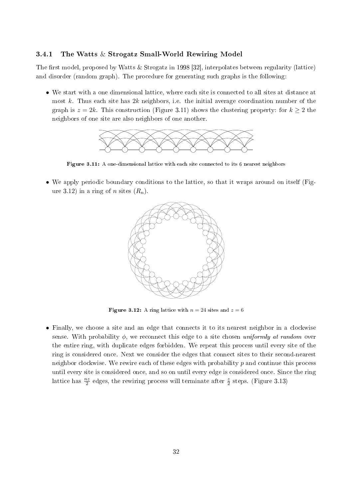#### 3.4.1 The Watts & Strogatz Small-World Rewiring Model

The first model, proposed by Watts & Strogatz in 1998 [32], interpolates between regularity (lattice) and disorder (random graph). The procedure for generating such graphs is the following:

• We start with a one dimensional lattice, where each site is connected to all sites at distance at most *k*. Thus each site has 2*k* neighbors, i.e. the initial average coordination number of the graph is  $z = 2k$ . This construction (Figure 3.11) shows the clustering property: for  $k \geq 2$  the neighbors of one site are also neighbors of one another.



Figure 3.11: A one-dimensional lattice with each site connected to its 6 nearest neighbors

• We apply periodic boundary conditions to the lattice, so that it wraps around on itself (Figure 3.12) in a ring of *n* sites  $(R_n)$ .



**Figure 3.12:** A ring lattice with  $n = 24$  sites and  $z = 6$ 

• Finally, we choose a site and an edge that connects it to its nearest neighbor in a clockwise sense. With probability  $\phi$ , we reconnect this edge to a site chosen uniformly at random over the entire ring, with duplicate edges forbidden. We repeat this process until every site of the ring is considered once. Next we consider the edges that connect sites to their second-nearest neighbor clockwise. We rewire each of these edges with probability *p* and continue this process until every site is considered once, and so on until every edge is considered once. Since the ring lattice has  $\frac{nz}{2}$  edges, the rewiring process will terminate after  $\frac{z}{2}$  steps. (Figure 3.13)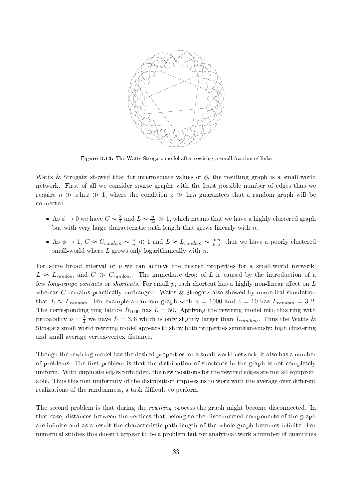

Figure 3.13: The Watts-Strogatz model after rewiring a small fraction of links

Watts & Strogatz showed that for intermediate values of *ϕ*, the resulting graph is a small-world network. First of all we consider sparse graphs with the least possible number of edges thus we require  $n \gg z \ln z \gg 1$ , where the condition  $z \gg \ln n$  guarantees that a random graph will be connected.

- As  $\phi \to 0$  we have  $C \sim \frac{3}{4}$  $\frac{3}{4}$  and  $L \sim \frac{n}{2z} \gg 1$ , which means that we have a highly clustered graph but with very large characteristic path length that grows linearly with *n*.
- As  $\phi \to 1$ ,  $C \approx C_{random} \sim \frac{z}{n} \ll 1$  and  $L \approx L_{random} \sim \frac{\ln n}{\ln z}$  $\frac{\ln n}{\ln z}$ , thus we have a poorly clustered small-world where *L* grows only logarithmically with *n*.

For some broad interval of *p* we can achieve the desired properties for a small-world network:  $L \approx L_{random}$  and  $C \gg C_{random}$ . The immediate drop of *L* is caused by the introduction of a few *long-range contacts* or *shortcuts*. For small p, each shortcut has a highly non-linear effect on L whereas *C* remains practically unchanged. Watts & Strogatz also showed by numerical simulation that  $L \approx L_{random}$ . For example a random graph with  $n = 1000$  and  $z = 10$  has  $L_{random} = 3,2$ . The corresponding ring lattice  $R_{1000}$  has  $L = 50$ . Applying the rewiring model into this ring with probability  $p = \frac{1}{4}$  we have  $L = 3, 6$  which is only slightly larger than  $L_{random}$ . Thus the Watts & Strogatz small-world rewiring model appears to show both properties simultaneously: high clustering and small average vertex-vertex distance.

Though the rewiring model has the desired properties for a small-world network, it also has a number of problems. The first problem is that the distribution of shortcuts in the graph is not completely uniform. With duplicate edges forbidden, the new positions for the rewired edges are not all equiprobable. Thus this non-uniformity of the distribution imposes us to work with the average over different realizations of the randomness, a task difficult to perform.

The second problem is that during the rewiring process the graph might become disconnected. In that case, distances between the vertices that belong to the disconnected components of the graph are infinite and as a result the characteristic path length of the whole graph becomes infinite. For numerical studies this doesn't appear to be a problem but for analytical work a number of quantities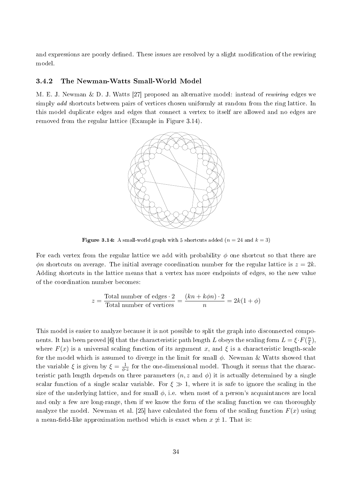and expressions are poorly defined. These issues are resolved by a slight modification of the rewiring model.

#### 3.4.2 The Newman-Watts Small-World Model

M. E. J. Newman & D. J. Watts [27] proposed an alternative model: instead of rewiring edges we simply add shortcuts between pairs of vertices chosen uniformly at random from the ring lattice. In this model duplicate edges and edges that connect a vertex to itself are allowed and no edges are removed from the regular lattice (Example in Figure 3.14).



**Figure 3.14:** A small-world graph with 5 shortcuts added  $(n = 24$  and  $k = 3)$ 

For each vertex from the regular lattice we add with probability  $\phi$  one shortcut so that there are  $\phi$ *n* shortcuts on average. The initial average coordination number for the regular lattice is  $z = 2k$ . Adding shortcuts in the lattice means that a vertex has more endpoints of edges, so the new value of the coordination number becomes:

$$
z = \frac{\text{Total number of edges} \cdot 2}{\text{Total number of vertices}} = \frac{(kn + k\phi n) \cdot 2}{n} = 2k(1 + \phi)
$$

This model is easier to analyze because it is not possible to split the graph into disconnected components. It has been proved [6] that the characteristic path length *L* obeys the scaling form  $L = \xi \cdot F(\frac{n}{\xi})$ *ξ* ), where  $F(x)$  is a universal scaling function of its argument x, and  $\xi$  is a characteristic length-scale for the model which is assumed to diverge in the limit for small *ϕ*. Newman & Watts showed that the variable  $\xi$  is given by  $\xi = \frac{1}{\phi}$ .  $\frac{1}{\phi \cdot z}$  for the one-dimensional model. Though it seems that the characteristic path length depends on three parameters  $(n, z \text{ and } \phi)$  it is actually determined by a single scalar function of a single scalar variable. For  $\xi \gg 1$ , where it is safe to ignore the scaling in the size of the underlying lattice, and for small  $\phi$ , i.e. when most of a person's acquaintances are local and only a few are long-range, then if we know the form of the scaling function we can thoroughly analyze the model. Newman et al. [25] have calculated the form of the scaling function  $F(x)$  using a mean-field-like approximation method which is exact when  $x \neq 1$ . That is: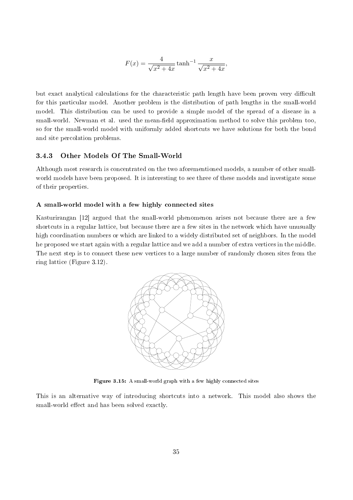$$
F(x) = \frac{4}{\sqrt{x^2 + 4x}} \tanh^{-1} \frac{x}{\sqrt{x^2 + 4x}},
$$

but exact analytical calculations for the characteristic path length have been proven very difficult for this particular model. Another problem is the distribution of path lengths in the small-world model. This distribution can be used to provide a simple model of the spread of a disease in a small-world. Newman et al. used the mean-field approximation method to solve this problem too so for the small-world model with uniformly added shortcuts we have solutions for both the bond and site percolation problems.

### 3.4.3 Other Models Of The Small-World

Although most research is concentrated on the two aforementioned models, a number of other smallworld models have been proposed. It is interesting to see three of these models and investigate some of their properties.

#### A small-world model with a few highly connected sites

Kasturirangan [12] argued that the small-world phenomenon arises not because there are a few shortcuts in a regular lattice, but because there are a few sites in the network which have unusually high coordination numbers or which are linked to a widely distributed set of neighbors. In the model he proposed we start again with a regular lattice and we add a number of extra vertices in the middle. The next step is to connect these new vertices to a large number of randomly chosen sites from the ring lattice (Figure 3.12).



Figure 3.15: A small-world graph with a few highly connected sites

This is an alternative way of introducing shortcuts into a network. This model also shows the small-world effect and has been solved exactly.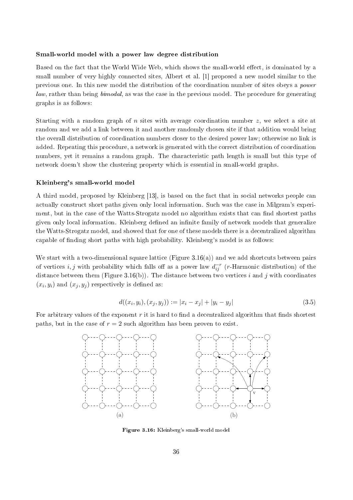#### Small-world model with a power law degree distribution

Based on the fact that the World Wide Web, which shows the small-world effect, is dominated by a small number of very highly connected sites, Albert et al. [1] proposed a new model similar to the previous one. In this new model the distribution of the coordination number of sites obeys a power law, rather than being bimodal, as was the case in the previous model. The procedure for generating graphs is as follows:

Starting with a random graph of *n* sites with average coordination number *z*, we select a site at random and we add a link between it and another randomly chosen site if that addition would bring the overall distribution of coordination numbers closer to the desired power law; otherwise no link is added. Repeating this procedure, a network is generated with the correct distribution of coordination numbers, yet it remains a random graph. The characteristic path length is small but this type of network doesn't show the clustering property which is essential in small-world graphs.

#### Kleinberg's small-world model

A third model, proposed by Kleinberg [13], is based on the fact that in social networks people can actually construct short paths given only local information. Such was the case in Milgram's experiment, but in the case of the Watts-Strogatz model no algorithm exists that can find shortest paths given only local information. Kleinberg defined an infinite family of network models that generalize the Watts-Strogatz model, and showed that for one of these models there is a decentralized algorithm capable of nding short paths with high probability. Kleinberg's model is as follows:

We start with a two-dimensional square lattice (Figure 3.16(a)) and we add shortcuts between pairs of vertices *i, j* with probability which falls off as a power law  $d_{ij}^{-r}$  (*r*-Harmonic distribution) of the distance between them (Figure 3.16(b)). The distance between two vertices *i* and *j* with coordinates  $(x_i, y_i)$  and  $(x_j, y_j)$  respectively is defined as:

$$
d((x_i, y_i), (x_j, y_j)) := |x_i - x_j| + |y_i - y_j|
$$
\n(3.5)

For arbitrary values of the exponent r it is hard to find a decentralized algorithm that finds shortest paths, but in the case of  $r = 2$  such algorithm has been proven to exist.



Figure 3.16: Kleinberg's small-world model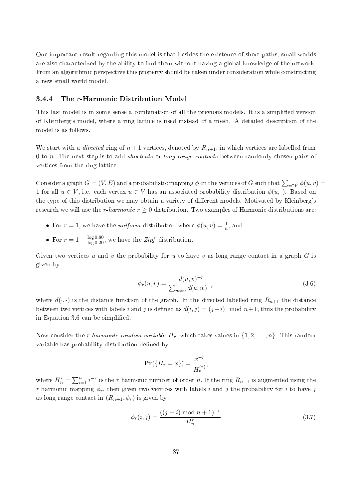One important result regarding this model is that besides the existence of short paths, small worlds are also characterized by the ability to find them without having a global knowledge of the network. From an algorithmic perspective this property should be taken under consideration while constructing a new small-world model.

#### 3.4.4 The *r*-Harmonic Distribution Model

This last model is in some sense a combination of all the previous models. It is a simplied version of Kleinberg's model, where a ring lattice is used instead of a mesh. A detailed description of the model is as follows.

We start with a *directed* ring of  $n+1$  vertices, denoted by  $R_{n+1}$ , in which vertices are labelled from 0 to *n*. The next step is to add shortcuts or long range contacts between randomly chosen pairs of vertices from the ring lattice.

Consider a graph  $G = (V, E)$  and a probabilistic mapping  $\phi$  on the vertices of *G* such that  $\sum_{v \in V} \phi(u, v) =$ 1 for all  $u \in V$ , i.e. each vertex  $u \in V$  has an associated probability distribution  $\phi(u, \cdot)$ . Based on the type of this distribution we may obtain a variety of different models. Motivated by Kleinberg's research we will use the *r*-harmonic  $r \geq 0$  distribution. Two examples of Harmonic distributions are

- For  $r = 1$ , we have the *uniform* distribution where  $\phi(u, v) = \frac{1}{n}$ , and
- For  $r = 1 \frac{\log 0.80}{\log 0.20}$ , we have the *Zipf* distribution.

Given two vertices *u* and *v* the probability for *u* to have *v* as long range contact in a graph *G* is given by:

$$
\phi_r(u,v) = \frac{d(u,v)^{-r}}{\sum_{w \neq u} d(u,w)^{-r}}
$$
\n(3.6)

where  $d(\cdot, \cdot)$  is the distance function of the graph. In the directed labelled ring  $R_{n+1}$  the distance between two vertices with labels *i* and *j* is defined as  $d(i, j) = (j - i) \mod n + 1$ , thus the probability in Equation 3.6 can be simplified.

Now consider the *r*-harmonic random variable  $H_r$ , which takes values in  $\{1, 2, \ldots, n\}$ . This random variable has probability distribution defined by:

$$
\mathbf{Pr}(\{H_r = x\}) = \frac{x^{-r}}{H_n^{(r)}},
$$

where  $H_n^r = \sum_{i=1}^n i^{-r}$  is the *r*-harmonic number of order *n*. If the ring  $R_{n+1}$  is augmented using the *r*-harmonic mapping  $\phi_r$ , then given two vertices with labels *i* and *j* the probability for *i* to have *j* as long range contact in  $(R_{n+1}, \phi_r)$  is given by:

$$
\phi_r(i,j) = \frac{((j-i) \mod n+1)^{-r}}{H_n^r}
$$
\n(3.7)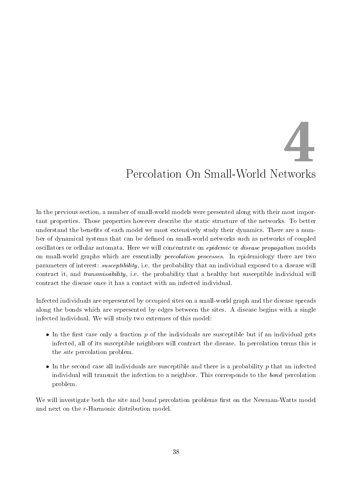**4**

# Percolation On Small-World Networks

In the previous section, a number of small-world models were presented along with their most important properties. Those properties however describe the static structure of the networks. To better understand the benefits of each model we must extensively study their dynamics. There are a number of dynamical systems that can be defined on small-world networks such as networks of coupled oscillators or cellular automata. Here we will concentrate on *epidemic* or *disease propagation* models on small-world graphs which are essentially percolation processes. In epidemiology there are two parameters of interest: susceptibility, i.e. the probability that an individual exposed to a disease will contract it, and transmissibility, i.e. the probability that a healthy but susceptible individual will contract the disease once it has a contact with an infected individual.

Infected individuals are represented by occupied sites on a small-world graph and the disease spreads along the bonds which are represented by edges between the sites. A disease begins with a single infected individual. We will study two extremes of this model:

- In the first case only a fraction  $p$  of the individuals are susceptible but if an individual gets infected, all of its susceptible neighbors will contract the disease. In percolation terms this is the site percolation problem.
- *•* In the second case all individuals are susceptible and there is a probability *p* that an infected individual will transmit the infection to a neighbor. This corresponds to the bond percolation problem.

We will investigate both the site and bond percolation problems first on the Newman-Watts model and next on the *r*-Harmonic distribution model.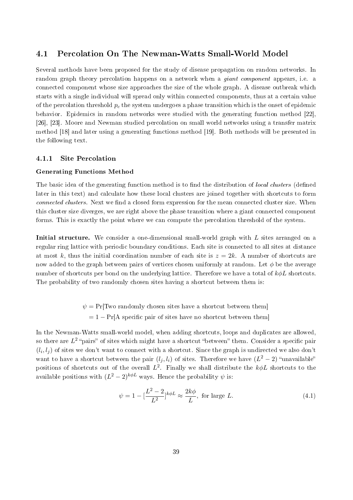# 4.1 Percolation On The Newman-Watts Small-World Model

Several methods have been proposed for the study of disease propagation on random networks. In random graph theory percolation happens on a network when a *giant component* appears, i.e. a connected component whose size approaches the size of the whole graph. A disease outbreak which starts with a single individual will spread only within connected components, thus at a certain value of the percolation threshold *p<sup>c</sup>* the system undergoes a phase transition which is the onset of epidemic behavior. Epidemics in random networks were studied with the generating function method [22] [26], [23]. Moore and Newman studied percolation on small world networks using a transfer matrix method [18] and later using a generating functions method [19]. Both methods will be presented in the following text.

#### 4.1.1 Site Percolation

#### Generating Functions Method

The basic idea of the generating function method is to find the distribution of local clusters (defined later in this text) and calculate how these local clusters are joined together with shortcuts to form connected clusters. Next we find a closed form expression for the mean connected cluster size. When this cluster size diverges, we are right above the phase transition where a giant connected component forms. This is exactly the point where we can compute the percolation threshold of the system.

Initial structure. We consider a one-dimensional small-world graph with *L* sites arranged on a regular ring lattice with periodic boundary conditions. Each site is connected to all sites at distance at most k, thus the initial coordination number of each site is  $z = 2k$ . A number of shortcuts are now added to the graph between pairs of vertices chosen uniformly at random. Let *ϕ* be the average number of shortcuts per bond on the underlying lattice. Therefore we have a total of *kϕL* shortcuts. The probability of two randomly chosen sites having a shortcut between them is:

> $\psi = \Pr[\text{Two randomly chosen sites have a shortcut between them}]$  $= 1 - Pr[A$  specific pair of sites have no shortcut between them

In the Newman-Watts small-world model, when adding shortcuts, loops and duplicates are allowed, so there are  $L^2$  "pairs" of sites which might have a shortcut "between" them. Consider a specific pair  $(l_i, l_j)$  of sites we don't want to connect with a shortcut. Since the graph is undirected we also don't want to have a shortcut between the pair  $(l_j, l_i)$  of sites. Therefore we have  $(L^2 - 2)$  "unavailable" positions of shortcuts out of the overall *L* 2 . Finally we shall distribute the *kϕL* shortcuts to the available positions with  $(L^2-2)^{k\phi L}$  ways. Hence the probability  $\psi$  is:

$$
\psi = 1 - \left[\frac{L^2 - 2}{L^2}\right]^{k\phi L} \approx \frac{2k\phi}{L}, \text{ for large } L. \tag{4.1}
$$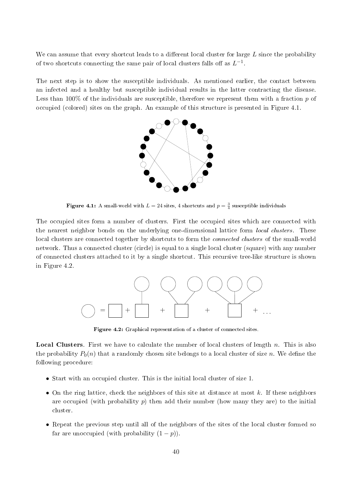We can assume that every shortcut leads to a different local cluster for large L since the probability of two shortcuts connecting the same pair of local clusters falls off as  $L^{-1}$ .

The next step is to show the susceptible individuals. As mentioned earlier, the contact between an infected and a healthy but susceptible individual results in the latter contracting the disease. Less than 100% of the individuals are susceptible, therefore we represent them with a fraction *p* of occupied (colored) sites on the graph. An example of this structure is presented in Figure 4.1.



**Figure 4.1:** A small-world with  $L = 24$  sites, 4 shortcuts and  $p = \frac{3}{4}$  susceptible individuals

The occupied sites form a number of clusters. First the occupied sites which are connected with the nearest neighbor bonds on the underlying one-dimensional lattice form local clusters. These local clusters are connected together by shortcuts to form the *connected clusters* of the small-world network. Thus a connected cluster (circle) is equal to a single local cluster (square) with any number of connected clusters attached to it by a single shortcut. This recursive tree-like structure is shown in Figure 4.2.



Figure 4.2: Graphical representation of a cluster of connected sites.

Local Clusters. First we have to calculate the number of local clusters of length *n*. This is also the probability  $P_0(n)$  that a randomly chosen site belongs to a local cluster of size *n*. We define the following procedure:

- Start with an occupied cluster. This is the initial local cluster of size 1.
- *•* On the ring lattice, check the neighbors of this site at distance at most *k*. If these neighbors are occupied (with probability *p*) then add their number (how many they are) to the initial cluster.
- Repeat the previous step until all of the neighbors of the sites of the local cluster formed so far are unoccupied (with probability  $(1 - p)$ ).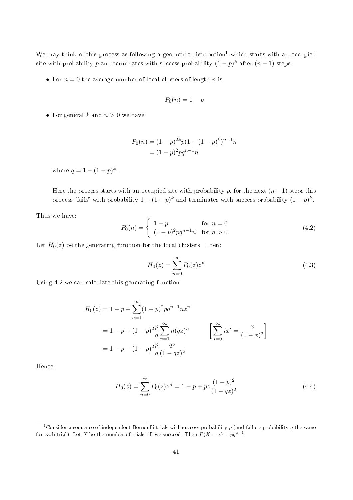We may think of this process as following a geometric distribution<sup>1</sup> which starts with an occupied site with probability *p* and terminates with success probability  $(1-p)^k$  after  $(n-1)$  steps.

• For  $n = 0$  the average number of local clusters of length *n* is:

$$
P_0(n) = 1 - p
$$

• For general  $k$  and  $n > 0$  we have:

$$
P_0(n) = (1-p)^{2k} p(1 - (1-p)^k)^{n-1} n
$$
  
=  $(1-p)^2 p q^{n-1} n$ 

where  $q = 1 - (1 - p)^k$ .

Here the process starts with an occupied site with probability *p*, for the next  $(n-1)$  steps this process "fails" with probability  $1 - (1 - p)^k$  and terminates with success probability  $(1 - p)^k$ .

Thus we have:

$$
P_0(n) = \begin{cases} 1-p & \text{for } n = 0\\ (1-p)^2 pq^{n-1}n & \text{for } n > 0 \end{cases}
$$
(4.2)

Let  $H_0(z)$  be the generating function for the local clusters. Then:

$$
H_0(z) = \sum_{n=0}^{\infty} P_0(z) z^n
$$
\n(4.3)

Using 4.2 we can calculate this generating function.

$$
H_0(z) = 1 - p + \sum_{n=1}^{\infty} (1-p)^2 p q^{n-1} n z^n
$$
  
= 1 - p + (1-p)<sup>2</sup>  $\frac{p}{q} \sum_{n=1}^{\infty} n (q z)^n$  
$$
\left[ \sum_{i=0}^{\infty} i x^i = \frac{x}{(1-x)^2} \right]
$$
  
= 1 - p + (1-p)<sup>2</sup>  $\frac{p}{q} \frac{q z}{(1-q z)^2}$ 

Hence:

$$
H_0(z) = \sum_{n=0}^{\infty} P_0(z) z^n = 1 - p + pz \frac{(1-p)^2}{(1-qz)^2}
$$
 (4.4)

<sup>1</sup>Consider a sequence of independent Bernoulli trials with success probability *p* (and failure probability *q* the same for each trial). Let *X* be the number of trials till we succeed. Then  $P(X = x) = pq^{x-1}$ .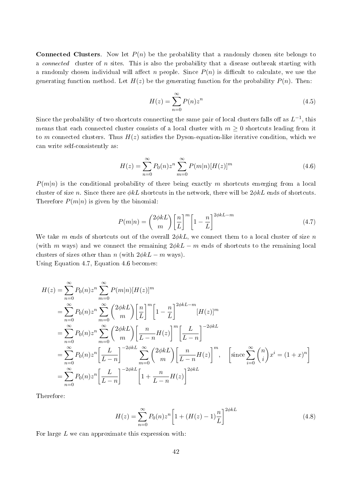**Connected Clusters.** Now let  $P(n)$  be the probability that a randomly chosen site belongs to a connected cluster of *n* sites. This is also the probability that a disease outbreak starting with a randomly chosen individual will affect *n* people. Since  $P(n)$  is difficult to calculate, we use the generating function method. Let  $H(z)$  be the generating function for the probability  $P(n)$ . Then:

$$
H(z) = \sum_{n=0}^{\infty} P(n) z^n
$$
\n(4.5)

Since the probability of two shortcuts connecting the same pair of local clusters falls off as  $L^{-1}$ , this means that each connected cluster consists of a local cluster with  $m \geq 0$  shortcuts leading from it to *m* connected clusters. Thus  $H(z)$  satisfies the Dyson-equation-like iterative condition, which we can write self-consistently as:

$$
H(z) = \sum_{n=0}^{\infty} P_0(n) z^n \sum_{m=0}^{\infty} P(m|n) [H(z)]^m
$$
\n(4.6)

 $P(m|n)$  is the conditional probability of there being exactly *m* shortcuts emerging from a local cluster of size *n*. Since there are *ϕkL* shortcuts in the network, there will be 2*ϕkL* ends of shortcuts. Therefore  $P(m|n)$  is given by the binomial:

$$
P(m|n) = \binom{2\phi k}{m} \left[\frac{n}{L}\right]^m \left[1 - \frac{n}{L}\right]^{2\phi k L - m} \tag{4.7}
$$

We take *m* ends of shortcuts out of the overall 2*ϕkL*, we connect them to a local cluster of size *n* (with *m* ways) and we connect the remaining  $2\phi kL - m$  ends of shortcuts to the remaining local clusters of sizes other than *n* (with  $2\phi kL - m$  ways).

Using Equation 4.7, Equation 4.6 becomes:

$$
H(z) = \sum_{n=0}^{\infty} P_0(n) z^n \sum_{m=0}^{\infty} P(m|n) [H(z)]^m
$$
  
\n
$$
= \sum_{n=0}^{\infty} P_0(n) z^n \sum_{m=0}^{\infty} {2\phi kL \choose m} \left[ \frac{n}{L} \right]^m \left[ 1 - \frac{n}{L} \right]^{2\phi kL - m} [H(z)]^m
$$
  
\n
$$
= \sum_{n=0}^{\infty} P_0(n) z^n \sum_{m=0}^{\infty} {2\phi kL \choose m} \left[ \frac{n}{L-n} H(z) \right]^m \left[ \frac{L}{L-n} \right]^{-2\phi kL}
$$
  
\n
$$
= \sum_{n=0}^{\infty} P_0(n) z^n \left[ \frac{L}{L-n} \right]^{-2\phi kL} \sum_{m=0}^{\infty} {2\phi kL \choose m} \left[ \frac{n}{L-n} H(z) \right]^m, \quad \left[ \text{since } \sum_{i=0}^{\infty} {n \choose i} x^i = (1+x)^n \right]
$$
  
\n
$$
= \sum_{n=0}^{\infty} P_0(n) z^n \left[ \frac{L}{L-n} \right]^{-2\phi kL} \left[ 1 + \frac{n}{L-n} H(z) \right]^{2\phi kL}
$$

Therefore:

$$
H(z) = \sum_{n=0}^{\infty} P_0(n) z^n \left[ 1 + (H(z) - 1) \frac{n}{L} \right]^{2\phi kL}
$$
 (4.8)

For large *L* we can approximate this expression with: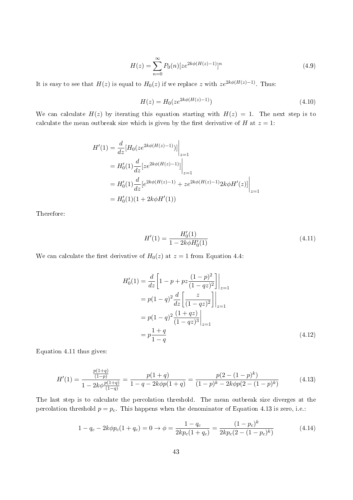$$
H(z) = \sum_{n=0}^{\infty} P_0(n) [ze^{2k\phi(H(z)-1)}]^n
$$
\n(4.9)

It is easy to see that  $H(z)$  is equal to  $H_0(z)$  if we replace *z* with  $ze^{2k\phi(H(z)-1)}$ . Thus:

$$
H(z) = H_0(ze^{2k\phi(H(z)-1)})
$$
\n(4.10)

We can calculate  $H(z)$  by iterating this equation starting with  $H(z) = 1$ . The next step is to calculate the mean outbreak size which is given by the first derivative of *H* at  $z = 1$ :

$$
H'(1) = \frac{d}{dz} [H_0(ze^{2k\phi(H(z)-1)})] \Big|_{z=1}
$$
  
=  $H'_0(1) \frac{d}{dz} [ze^{2k\phi(H(z)-1)}] \Big|_{z=1}$   
=  $H'_0(1) \frac{d}{dz} [e^{2k\phi(H(z)-1)} + ze^{2k\phi(H(z)-1)} 2k\phi H'(z)] \Big|_{z=1}$   
=  $H'_0(1)(1 + 2k\phi H'(1))$ 

Therefore:

$$
H'(1) = \frac{H'_0(1)}{1 - 2k\phi H'_0(1)}\tag{4.11}
$$

We can calculate the first derivative of  $H_0(z)$  at  $z = 1$  from Equation 4.4:

$$
H'_{0}(1) = \frac{d}{dz} \left[ 1 - p + pz \frac{(1-p)^{2}}{(1-qz)^{2}} \right] \Big|_{z=1}
$$
  
=  $p(1-q)^{2} \frac{d}{dz} \left[ \frac{z}{(1-qz)^{2}} \right] \Big|_{z=1}$   
=  $p(1-q)^{2} \frac{(1+qz)}{(1-qz)^{3}} \Big|_{z=1}$   
=  $p \frac{1+q}{1-q}$  (4.12)

Equation 4.11 thus gives:

$$
H'(1) = \frac{\frac{p(1+q)}{(1-p)}}{1 - 2k\phi \frac{p(1+q)}{(1-q)}} = \frac{p(1+q)}{1 - q - 2k\phi p(1+q)} = \frac{p(2 - (1-p)^k)}{(1-p)^k - 2k\phi p(2 - (1-p)^k)}
$$
(4.13)

The last step is to calculate the percolation threshold. The mean outbreak size diverges at the percolation threshold  $p = p_c$ . This happens when the denominator of Equation 4.13 is zero, i.e.:

$$
1 - q_c - 2k\phi p_c (1 + q_c) = 0 \to \phi = \frac{1 - q_c}{2kp_c(1 + q_c)} = \frac{(1 - p_c)^k}{2kp_c(2 - (1 - p_c)^k)}
$$
(4.14)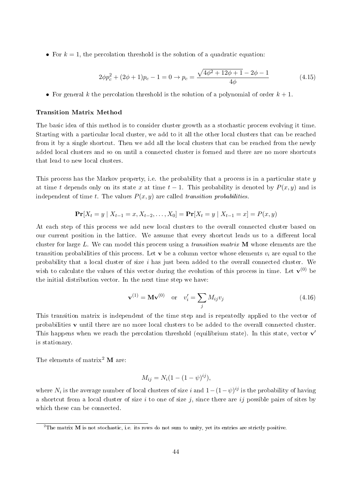• For  $k = 1$ , the percolation threshold is the solution of a quadratic equation:

$$
2\phi p_c^2 + (2\phi + 1)p_c - 1 = 0 \to p_c = \frac{\sqrt{4\phi^2 + 12\phi + 1} - 2\phi - 1}{4\phi} \tag{4.15}
$$

*•* For general *k* the percolation threshold is the solution of a polynomial of order *k* + 1.

#### Transition Matrix Method

The basic idea of this method is to consider cluster growth as a stochastic process evolving it time. Starting with a particular local cluster, we add to it all the other local clusters that can be reached from it by a single shortcut. Then we add all the local clusters that can be reached from the newly added local clusters and so on until a connected cluster is formed and there are no more shortcuts that lead to new local clusters.

This process has the Markov property, i.e. the probability that a process is in a particular state *y* at time *t* depends only on its state *x* at time  $t-1$ . This probability is denoted by  $P(x, y)$  and is independent of time *t*. The values  $P(x, y)$  are called *transition probabilities*.

$$
\Pr[X_t = y \mid X_{t-1} = x, X_{t-2}, \dots, X_0] = \Pr[X_t = y \mid X_{t-1} = x] = P(x, y)
$$

At each step of this process we add new local clusters to the overall connected cluster based on our current position in the lattice. We assume that every shortcut leads us to a different local cluster for large *L*. We can model this process using a transition matrix M whose elements are the transition probabilities of this process. Let  $\bf{v}$  be a column vector whose elements  $v_i$  are equal to the probability that a local cluster of size *i* has just been added to the overall connected cluster. We wish to calculate the values of this vector during the evolution of this process in time. Let  $\mathbf{v}^{(0)}$  be the initial distribution vector. In the next time step we have:

$$
\mathbf{v}^{(1)} = \mathbf{M}\mathbf{v}^{(0)} \quad \text{or} \quad v_i' = \sum_j M_{ij} v_j \tag{4.16}
$$

This transition matrix is independent of the time step and is repeatedly applied to the vector of probabilities  $\bf{v}$  until there are no more local clusters to be added to the overall connected cluster. This happens when we reach the percolation threshold (equilibrium state). In this state, vector **v** is stationary.

The elements of matrix<sup>2</sup>  $\bf{M}$  are:

$$
M_{ij} = N_i (1 - (1 - \psi)^{ij}),
$$

where  $N_i$  is the average number of local clusters of size *i* and  $1-(1-\psi)^{ij}$  is the probability of having a shortcut from a local cluster of size *i* to one of size *j*, since there are *ij* possible pairs of sites by which these can be connected.

<sup>&</sup>lt;sup>2</sup>The matrix M is not stochastic, i.e. its rows do not sum to unity, yet its entries are strictly positive.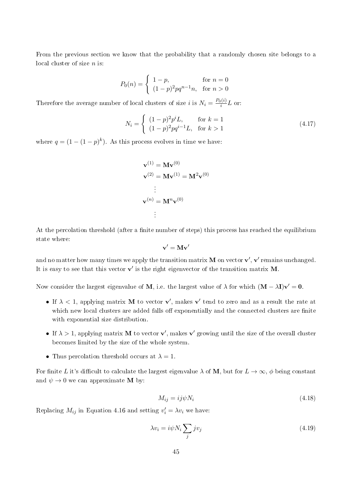From the previous section we know that the probability that a randomly chosen site belongs to a local cluster of size *n* is:

$$
P_0(n) = \begin{cases} 1 - p, & \text{for } n = 0\\ (1 - p)^2 p q^{n-1} n, & \text{for } n > 0 \end{cases}
$$

Therefore the average number of local clusters of size *i* is  $N_i = \frac{P_0(i)}{i}$  $\frac{D(1)}{i}L$  or:

$$
N_i = \begin{cases} (1-p)^2 p^i L, & \text{for } k = 1\\ (1-p)^2 p q^{i-1} L, & \text{for } k > 1 \end{cases}
$$
(4.17)

where  $q = (1 - (1 - p)^k)$ . As this process evolves in time we have:

$$
\mathbf{v}^{(1)} = \mathbf{M}\mathbf{v}^{(0)}
$$

$$
\mathbf{v}^{(2)} = \mathbf{M}\mathbf{v}^{(1)} = \mathbf{M}^2\mathbf{v}^{(0)}
$$

$$
\vdots
$$

$$
\mathbf{v}^{(n)} = \mathbf{M}^n\mathbf{v}^{(0)}
$$

$$
\vdots
$$

At the percolation threshold (after a finite number of steps) this process has reached the equilibrium state where:

$$
\mathbf{v}' = \mathbf{M} \mathbf{v}'
$$

and no matter how many times we apply the transition matrix  ${\bf M}$  on vector  ${\bf v}',$   ${\bf v}'$  remains unchanged. It is easy to see that this vector  $\mathbf{v}'$  is the right eigenvector of the transition matrix  $\mathbf{M}$ .

Now consider the largest eigenvalue of  $\bf{M}$ , i.e. the largest value of  $\lambda$  for which  $(\bf{M} - \lambda \bf{I}) \bf{v}' = 0$ .

- If  $\lambda < 1$ , applying matrix **M** to vector **v'**, makes **v'** tend to zero and as a result the rate at which new local clusters are added falls off exponentially and the connected clusters are finite with exponential size distribution.
- If  $\lambda > 1$ , applying matrix **M** to vector **v'**, makes **v'** growing until the size of the overall cluster becomes limited by the size of the whole system.
- Thus percolation threshold occurs at  $\lambda = 1$ .

For finite *L* it's difficult to calculate the largest eigenvalue  $\lambda$  of **M**, but for  $L \to \infty$ ,  $\phi$  being constant and  $\psi \rightarrow 0$  we can approximate **M** by:

$$
M_{ij} = ij\psi N_i \tag{4.18}
$$

Replacing  $M_{ij}$  in Equation 4.16 and setting  $v'_i = \lambda v_i$  we have:

$$
\lambda v_i = i\psi N_i \sum_j jv_j \tag{4.19}
$$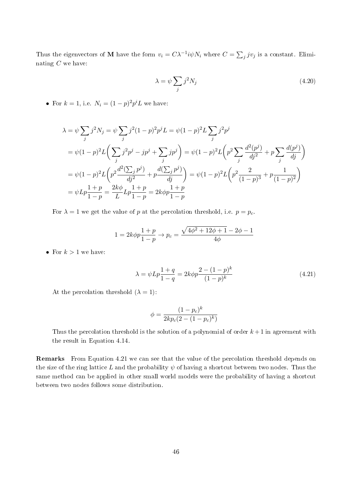Thus the eigenvectors of M have the form  $v_i = C\lambda^{-1}i\psi N_i$  where  $C = \sum_j jv_j$  is a constant. Eliminating *C* we have:

$$
\lambda = \psi \sum_{j} j^{2} N_{j} \tag{4.20}
$$

• For  $k = 1$ , i.e.  $N_i = (1 - p)^2 p^i L$  we have:

$$
\lambda = \psi \sum_{j} j^{2} N_{j} = \psi \sum_{j} j^{2} (1-p)^{2} p^{j} L = \psi (1-p)^{2} L \sum_{j} j^{2} p^{j}
$$
\n
$$
= \psi (1-p)^{2} L \left( \sum_{j} j^{2} p^{j} - j p^{j} + \sum_{j} j p^{j} \right) = \psi (1-p)^{2} L \left( p^{2} \sum_{j} \frac{d^{2} (p^{j})}{dj^{2}} + p \sum_{j} \frac{d (p^{j})}{dj} \right)
$$
\n
$$
= \psi (1-p)^{2} L \left( p^{2} \frac{d^{2} (\sum_{j} p^{j})}{dj^{2}} + p \frac{d (\sum_{j} p^{j})}{dj} \right) = \psi (1-p)^{2} L \left( p^{2} \frac{2}{(1-p)^{3}} + p \frac{1}{(1-p)^{2}} \right)
$$
\n
$$
= \psi L p \frac{1+p}{1-p} = \frac{2k\phi}{L} L p \frac{1+p}{1-p} = 2k\phi p \frac{1+p}{1-p}
$$

For  $\lambda = 1$  we get the value of *p* at the percolation threshold, i.e.  $p = p_c$ .

$$
1 = 2k\phi p \frac{1+p}{1-p} \to p_c = \frac{\sqrt{4\phi^2 + 12\phi + 1} - 2\phi - 1}{4\phi}
$$

• For  $k > 1$  we have:

$$
\lambda = \psi L p \frac{1+q}{1-q} = 2k \phi p \frac{2 - (1-p)^k}{(1-p)^k}
$$
\n(4.21)

At the percolation threshold  $(\lambda = 1)$ :

$$
\phi = \frac{(1 - p_c)^k}{2kp_c(2 - (1 - p_c)^k)}
$$

Thus the percolation threshold is the solution of a polynomial of order  $k+1$  in agreement with the result in Equation 4.14.

Remarks From Equation 4.21 we can see that the value of the percolation threshold depends on the size of the ring lattice *L* and the probability  $\psi$  of having a shortcut between two nodes. Thus the same method can be applied in other small world models were the probability of having a shortcut between two nodes follows some distribution.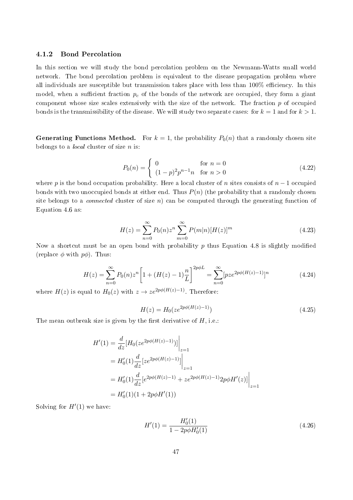#### 4.1.2 Bond Percolation

In this section we will study the bond percolation problem on the Newmann-Watts small world network. The bond percolation problem is equivalent to the disease propagation problem where all individuals are susceptible but transmission takes place with less than  $100\%$  efficiency. In this model, when a sufficient fraction  $p_c$  of the bonds of the network are occupied, they form a giant component whose size scales extensively with the size of the network. The fraction *p* of occupied bonds is the transmissibility of the disease. We will study two separate cases: for  $k = 1$  and for  $k > 1$ .

**Generating Functions Method.** For  $k = 1$ , the probability  $P_0(n)$  that a randomly chosen site belongs to a local cluster of size *n* is:

$$
P_0(n) = \begin{cases} 0 & \text{for } n = 0\\ (1 - p)^2 p^{n-1} n & \text{for } n > 0 \end{cases}
$$
 (4.22)

where *p* is the bond occupation probability. Here a local cluster of *n* sites consists of  $n-1$  occupied bonds with two unoccupied bonds at either end. Thus *P*(*n*) (the probability that a randomly chosen site belongs to a *connected* cluster of size  $n$ ) can be computed through the generating function of Equation 4.6 as:

$$
H(z) = \sum_{n=0}^{\infty} P_0(n) z^n \sum_{m=0}^{\infty} P(m|n) [H(z)]^m
$$
\n(4.23)

Now a shortcut must be an open bond with probability p thus Equation 4.8 is slightly modified (replace *ϕ* with *pϕ*). Thus:

$$
H(z) = \sum_{n=0}^{\infty} P_0(n) z^n \left[ 1 + (H(z) - 1) \frac{n}{L} \right]^{2p\phi L} = \sum_{n=0}^{\infty} [p z e^{2p\phi(H(z) - 1)}]^n
$$
(4.24)

where  $H(z)$  is equal to  $H_0(z)$  with  $z \to ze^{2p\phi(H(z)-1)}$ . Therefore:

$$
H(z) = H_0(ze^{2p\phi(H(z)-1)})
$$
\n(4.25)

The mean outbreak size is given by the first derivative of  $H$ , i.e.:

$$
H'(1) = \frac{d}{dz} [H_0(ze^{2p\phi(H(z)-1)})] \Big|_{z=1}
$$
  
=  $H'_0(1) \frac{d}{dz} [ze^{2p\phi(H(z)-1)}] \Big|_{z=1}$   
=  $H'_0(1) \frac{d}{dz} [e^{2p\phi(H(z)-1)} + ze^{2p\phi(H(z)-1)} 2p\phi H'(z)] \Big|_{z=1}$   
=  $H'_0(1)(1 + 2p\phi H'(1))$ 

Solving for  $H'(1)$  we have:

$$
H'(1) = \frac{H'_0(1)}{1 - 2p\phi H'_0(1)}\tag{4.26}
$$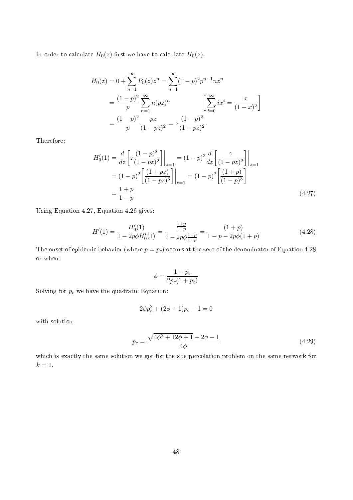In order to calculate  $H_0(z)$  first we have to calculate  $H_0(z)$ :

$$
H_0(z) = 0 + \sum_{n=1}^{\infty} P_0(z) z^n = \sum_{n=1}^{\infty} (1-p)^2 p^{n-1} n z^n
$$
  
= 
$$
\frac{(1-p)^2}{p} \sum_{n=1}^{\infty} n(pz)^n \qquad \left[ \sum_{i=0}^{\infty} ix^i = \frac{x}{(1-x)^2} \right]
$$
  
= 
$$
\frac{(1-p)^2}{p} \frac{pz}{(1-pz)^2} = z \frac{(1-p)^2}{(1-pz)^2}.
$$

Therefore:

$$
H'_0(1) = \frac{d}{dz} \left[ z \frac{(1-p)^2}{(1-pz)^2} \right] \Big|_{z=1} = (1-p)^2 \frac{d}{dz} \left[ \frac{z}{(1-pz)^2} \right] \Big|_{z=1}
$$
  
=  $(1-p)^2 \left[ \frac{(1+pz)}{(1-pz)^3} \right] \Big|_{z=1} = (1-p)^2 \left[ \frac{(1+p)}{(1-p)^3} \right]$   
=  $\frac{1+p}{1-p}$  (4.27)

Using Equation 4.27, Equation 4.26 gives:

$$
H'(1) = \frac{H'_0(1)}{1 - 2p\phi H'_0(1)} = \frac{\frac{1+p}{1-p}}{1 - 2p\phi \frac{1+p}{1-p}} = \frac{(1+p)}{1 - p - 2p\phi(1+p)}
$$
(4.28)

The onset of epidemic behavior (where  $p = p_c$ ) occurs at the zero of the denominator of Equation 4.28 or when:

$$
\phi = \frac{1 - p_c}{2p_c(1 + p_c)}
$$

Solving for  $p_c$  we have the quadratic Equation:

$$
2\phi p_c^2 + (2\phi + 1)p_c - 1 = 0
$$

with solution:

$$
p_c = \frac{\sqrt{4\phi^2 + 12\phi + 1} - 2\phi - 1}{4\phi} \tag{4.29}
$$

which is exactly the same solution we got for the site percolation problem on the same network for  $k = 1$ .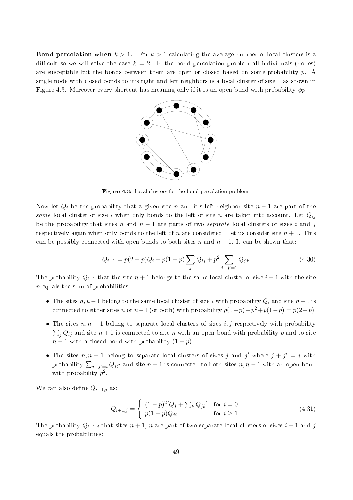**Bond percolation when**  $k > 1$ . For  $k > 1$  calculating the average number of local clusters is a difficult so we will solve the case  $k = 2$ . In the bond percolation problem all individuals (nodes) are susceptible but the bonds between them are open or closed based on some probability *p*. A single node with closed bonds to it's right and left neighbors is a local cluster of size 1 as shown in Figure 4.3. Moreover every shortcut has meaning only if it is an open bond with probability *ϕp*.



Figure 4.3: Local clusters for the bond percolation problem.

Now let  $Q_i$  be the probability that a given site *n* and it's left neighbor site  $n-1$  are part of the same local cluster of size *i* when only bonds to the left of site *n* are taken into account. Let  $Q_{ij}$ be the probability that sites *n* and *n −* 1 are parts of two separate local clusters of sizes *i* and *j* respectively again when only bonds to the left of *n* are considered. Let us consider site  $n + 1$ . This can be possibly connected with open bonds to both sites *n* and  $n-1$ . It can be shown that:

$$
Q_{i+1} = p(2-p)Q_i + p(1-p)\sum_j Q_{ij} + p^2 \sum_{j+j'=1} Q_{jj'}
$$
\n(4.30)

The probability  $Q_{i+1}$  that the site  $n+1$  belongs to the same local cluster of size  $i+1$  with the site *n* equals the sum of probabilities:

- *•* The sites *n, n−*1 belong to the same local cluster of size *i* with probability *Q<sup>i</sup>* and site *n*+ 1 is connected to either sites *n* or  $n-1$  (or both) with probability  $p(1-p) + p^2 + p(1-p) = p(2-p)$ .
- *•* The sites *n, n −* 1 belong to separate local clusters of sizes *i, j* respectively with probability  $\sum_{j} Q_{ij}$  and site  $n+1$  is connected to site *n* with an open bond with probability *p* and to site  $n-1$  with a closed bond with probability  $(1-p)$ .
- *•* The sites *n, n −* 1 belong to separate local clusters of sizes *j* and *j ′* where *j* + *j ′* = *i* with probability  $\sum_{j+j'=i} Q_{jj'}$  and site  $n+1$  is connected to both sites  $n, n-1$  with an open bond with probability  $p^2$ .

We can also define  $Q_{i+1,j}$  as:

$$
Q_{i+1,j} = \begin{cases} (1-p)^2 [Q_j + \sum_k Q_{jk}] & \text{for } i = 0\\ p(1-p)Q_{ji} & \text{for } i \ge 1 \end{cases}
$$
(4.31)

The probability  $Q_{i+1,j}$  that sites  $n+1$ , *n* are part of two separate local clusters of sizes  $i+1$  and *j* equals the probabilities: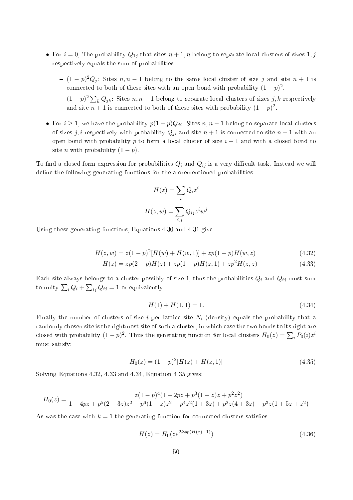- For  $i = 0$ , The probability  $Q_{1j}$  that sites  $n + 1, n$  belong to separate local clusters of sizes  $1, j$ respectively equals the sum of probabilities:
	- (1 *− p*) <sup>2</sup>*Q<sup>j</sup>* : Sites *n, n −* 1 belong to the same local cluster of size *j* and site *n* + 1 is connected to both of these sites with an open bond with probability  $(1-p)^2$ .
	- (1 *− p*) 2 ∑ *<sup>k</sup> Qjk*: Sites *n, n −* 1 belong to separate local clusters of sizes *j, k* respectively and site  $n + 1$  is connected to both of these sites with probability  $(1 - p)^2$ .
- For  $i \geq 1$ , we have the probability  $p(1-p)Q_{ji}$ : Sites  $n, n-1$  belong to separate local clusters of sizes *j, i* respectively with probability  $Q_{ji}$  and site  $n + 1$  is connected to site  $n - 1$  with an open bond with probability  $p$  to form a local cluster of size  $i + 1$  and with a closed bond to site *n* with probability  $(1 - p)$ .

To find a closed form expression for probabilities  $Q_i$  and  $Q_{ij}$  is a very difficult task. Instead we will define the following generating functions for the aforementioned probabilities:

$$
H(z) = \sum_{i} Q_i z^i
$$

$$
H(z, w) = \sum_{i,j} Q_{ij} z^i w^j
$$

Using these generating functions, Equations 4.30 and 4.31 give:

$$
H(z, w) = z(1 - p)^{2}[H(w) + H(w, 1)] + zp(1 - p)H(w, z)
$$
\n(4.32)

$$
H(z) = zp(2-p)H(z) + zp(1-p)H(z,1) + zp^{2}H(z,z)
$$
\n(4.33)

Each site always belongs to a cluster possibly of size 1, thus the probabilities  $Q_i$  and  $Q_{ij}$  must sum to unity  $\sum_i Q_i + \sum_{ij} Q_{ij} = 1$  or equivalently:

$$
H(1) + H(1,1) = 1.\t(4.34)
$$

Finally the number of clusters of size  $i$  per lattice site  $N_i$  (density) equals the probability that a randomly chosen site is the rightmost site of such a cluster, in which case the two bonds to its right are closed with probability  $(1-p)^2$ . Thus the generating function for local clusters  $H_0(z) = \sum_i P_0(i)z^i$ must satisfy:

$$
H_0(z) = (1 - p)^2 [H(z) + H(z, 1)] \tag{4.35}
$$

Solving Equations 4.32, 4.33 and 4.34, Equation 4.35 gives:

$$
H_0(z) = \frac{z(1-p)^4(1-2pz+p^3(1-z)z+p^2z^2)}{1-4pz+p^5(2-3z)z^2-p^6(1-z)z^2+p^4z^2(1+3z)+p^2z(4+3z)-p^3z(1+5z+z^2)}
$$

As was the case with  $k = 1$  the generating function for connected clusters satisfies:

$$
H(z) = H_0(ze^{2k\phi p(H(z)-1)})
$$
\n(4.36)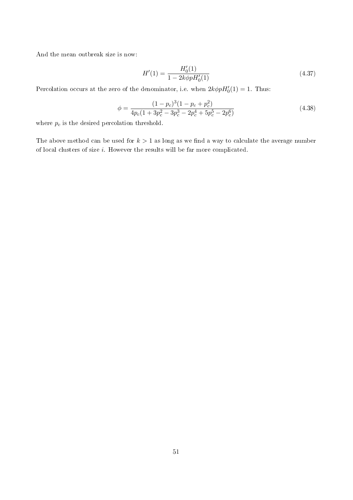And the mean outbreak size is now:

$$
H'(1) = \frac{H'_0(1)}{1 - 2k\phi p H'_0(1)}\tag{4.37}
$$

Percolation occurs at the zero of the denominator, i.e. when  $2k\phi pH'_{0}(1) = 1$ . Thus:

$$
\phi = \frac{(1 - p_c)^3 (1 - p_c + p_c^2)}{4p_c(1 + 3p_c^2 - 3p_c^3 - 2p_c^4 + 5p_c^5 - 2p_c^6)}
$$
(4.38)

where  $p_c$  is the desired percolation threshold.

The above method can be used for  $k > 1$  as long as we find a way to calculate the average number of local clusters of size *i*. However the results will be far more complicated.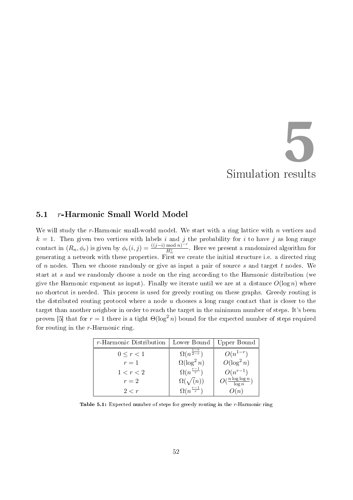# Simulation results **5**

# 5.1 *r*-Harmonic Small World Model

We will study the *r*-Harmonic small-world model. We start with a ring lattice with *n* vertices and  $k = 1$ . Then given two vertices with labels *i* and *j* the probability for *i* to have *j* as long range contact in  $(R_n, \phi_r)$  is given by  $\phi_r(i,j) = \frac{((j-i) \mod n)^{-r}}{H_n^r}$ . Here we present a randomized algorithm for generating a network with these properties. First we create the initial structure i.e. a directed ring of *n* nodes. Then we choose randomly or give as input a pair of source *s* and target *t* nodes. We start at *s* and we randomly choose a node on the ring according to the Harmonic distribution (we give the Harmonic exponent as input). Finally we iterate until we are at a distance  $O(\log n)$  where no shortcut is needed. This process is used for greedy routing on these graphs. Greedy routing is the distributed routing protocol where a node *u* chooses a long range contact that is closer to the target than another neighbor in order to reach the target in the minimum number of steps. It's been proven [5] that for  $r = 1$  there is a tight  $\Theta(\log^2 n)$  bound for the expected number of steps required for routing in the *r*-Harmonic ring.

| <i>r</i> -Harmonic Distribution | Lower Bound                   | Upper Bound                     |
|---------------------------------|-------------------------------|---------------------------------|
| $0 \leq r < 1$                  | $\Omega(n^{\frac{1-r}{2-r}})$ | $O(n^{1-r})$                    |
| $r=1$                           | $\Omega(\log^2 n)$            | $O(\log^2 n)$                   |
| 1 < r < 2                       | $\Omega(n^{\frac{r-1}{r}})$   | $O(n^{r-1})$                    |
| $r=2$                           | $\Omega(\sqrt(n))$            | $O(\frac{n\log\log n}{\log n})$ |
| 2 < r                           | $\Omega(n^{\frac{r-1}{r}})$   | O(n)                            |

Table 5.1: Expected number of steps for greedy routing in the *r*-Harmonic ring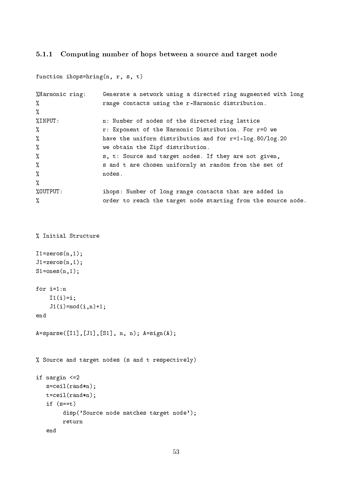# 5.1.1 Computing number of hops between a source and target node

| function ihops=hring $(n, r, s, t)$ |                                                               |
|-------------------------------------|---------------------------------------------------------------|
| %Harmonic ring:                     | Generate a network using a directed ring augmented with long  |
| %                                   | range contacts using the r-Harmonic distribution.             |
| %                                   |                                                               |
| %INPUT:                             | n: Number of nodes of the directed ring lattice               |
| %                                   | r: Exponent of the Harmonic Distribution. For r=0 we          |
| %                                   | have the uniform distribution and for $r=1$ -log. 80/log. 20  |
| %                                   | we obtain the Zipf distribution.                              |
| %                                   | s, t: Source and target nodes. If they are not given,         |
| %                                   | s and t are chosen uniformly at random from the set of        |
| %                                   | nodes.                                                        |
| %                                   |                                                               |
| %OUTPUT:                            | ihops: Number of long range contacts that are added in        |
| %                                   | order to reach the target node starting from the source node. |

```
% Initial Structure
```

```
I1=zeros(n,1);
J1=zeros(n,1);
S1=ones(n,1);for i=1:n
    I1(i)=i;J1(i)=mod(i, n)+1;end
A=sparse([I1],[J1],[S1], n, n); A=sign(A);
% Source and target nodes (s and t respectively)
if nargin <=2
   s=ceil(rand*n);
   t=ceil(rand*n);
   if (s==t)
        disp('Source node matches target node');
        return
   end
```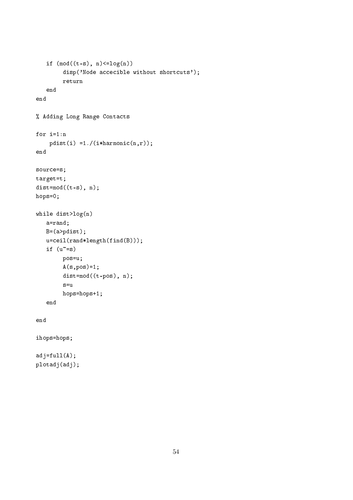```
if (mod((t-s), n) \leq log(n))disp('Node accecible without shortcuts');
        return
   end
end
% Adding Long Range Contacts
for i=1:n
    pdist(i) = 1./(ikharmonic(n,r));end
source=s;
target=t;
dist=mod((t-s), n);
hops=0;
while dist>log(n)
   a=rand;
   B=(a>pdist);
   u=ceil(rand*length(find(B)));
   if (u^*=s)pos=u;
        A(s, pos) = 1;dist=mod((t-pos), n);
        s=u
        hops=hops+1;
   end
end
ihops=hops;
adj=full(A);plotadj(adj);
```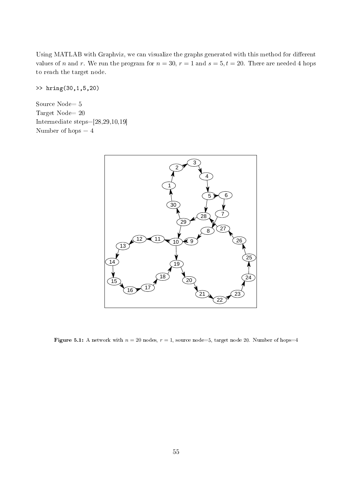Using MATLAB with Graphviz, we can visualize the graphs generated with this method for different values of *n* and *r*. We run the program for  $n = 30$ ,  $r = 1$  and  $s = 5$ ,  $t = 20$ . There are needed 4 hops to reach the target node.

>> hring(30,1,5,20)

Source Node= 5 Target Node= 20 Intermediate steps=[28,29,10,19] Number of hops  $=\,4$ 



Figure 5.1: A network with  $n = 20$  nodes,  $r = 1$ , source node=5, target node 20. Number of hops=4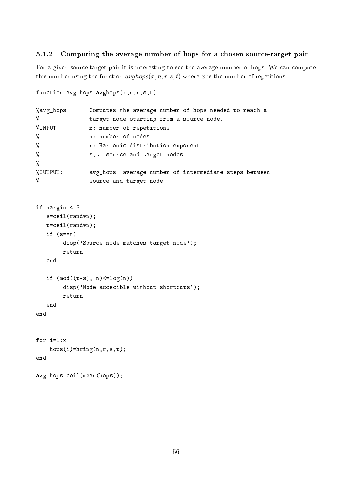#### 5.1.2 Computing the average number of hops for a chosen source-target pair

For a given source-target pair it is interesting to see the average number of hops. We can compute this number using the function  $\frac{avghops(x, n, r, s, t)}{s}$  where x is the number of repetitions.

```
function avg_hops=avghops(x,n,r,s,t)
%avg_hops: Computes the average number of hops needed to reach a
% target node starting from a source node.
%INPUT: x: number of repetitions
% n: number of nodes
% r: Harmonic distribution exponent
% s,t: source and target nodes
%
%OUTPUT: avg_hops: average number of intermediate steps between
% source and target node
if nargin <=3
  s=ceil(rand*n);
  t=ceil(rand*n);
  if (s==t)disp('Source node matches target node');
       return
  end
  if (mod((t-s), n)>=log(n))disp('Node accecible without shortcuts');
       return
  end
end
for i=1:x
   hops(i)=hring(n,r,s,t);end
avg_hops=ceil(mean(hops));
```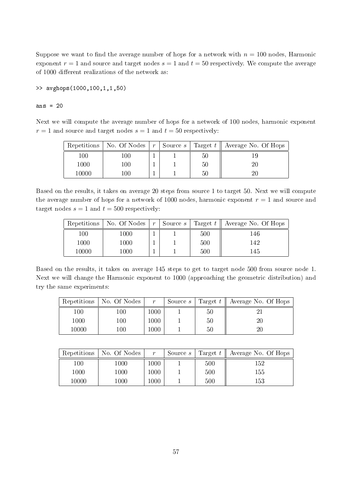Suppose we want to find the average number of hops for a network with  $n = 100$  nodes, Harmonic exponent  $r = 1$  and source and target nodes  $s = 1$  and  $t = 50$  respectively. We compute the average of 1000 different realizations of the network as:

>> avghops(1000,100,1,1,50)

ans  $= 20$ 

Next we will compute the average number of hops for a network of 100 nodes, harmonic exponent  $r = 1$  and source and target nodes  $s = 1$  and  $t = 50$  respectively:

| Repetitions | No. Of Nodes | $\cdot$ r . | Source $s$ $\vdash$ |    | Target $t$    Average No. Of Hops |
|-------------|--------------|-------------|---------------------|----|-----------------------------------|
| 100         | 100          |             |                     | 50 |                                   |
| 1000        | 100          |             |                     | 50 |                                   |
| 10000       | 100          |             |                     | 50 |                                   |

Based on the results, it takes on average 20 steps from source 1 to target 50. Next we will compute the average number of hops for a network of 1000 nodes, harmonic exponent  $r = 1$  and source and target nodes  $s = 1$  and  $t = 500$  respectively:

| Repetitions | No. Of Nodes | $\boldsymbol{r}$ | Source s |     | Target $t \parallel$ Average No. Of Hops |
|-------------|--------------|------------------|----------|-----|------------------------------------------|
| 100         | 1000         |                  |          | 500 | 146                                      |
| 1000        | 1000         |                  |          | 500 | 142                                      |
| 10000       | 1000         |                  |          | 500 | 145                                      |

Based on the results, it takes on average 145 steps to get to target node 500 from source node 1. Next we will change the Harmonic exponent to 1000 (approaching the geometric distribution) and try the same experiments:

| Repetitions | No. Of Nodes | $\boldsymbol{r}$ | Source <i>s</i> |    | Target $t \parallel$ Average No. Of Hops |
|-------------|--------------|------------------|-----------------|----|------------------------------------------|
| $100\,$     | 100          | 1000             |                 | 50 |                                          |
| 1000        | 100          | 1000             |                 | 50 | 20                                       |
| 10000       | 100          | 1000             |                 | 50 | 20                                       |

|       | Repetitions   No. Of Nodes | $\boldsymbol{r}$ | Source s |     | Target $t \parallel$ Average No. Of Hops |
|-------|----------------------------|------------------|----------|-----|------------------------------------------|
| 100   | 1000                       | 1000             |          | 500 | 152                                      |
| 1000  | 1000                       | 1000             |          | 500 | 155                                      |
| 10000 | 1000                       | 1000             |          | 500 | 153                                      |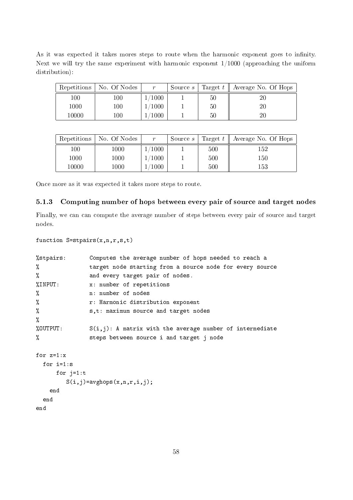As it was expected it takes mores steps to route when the harmonic exponent goes to infinity. Next we will try the same experiment with harmonic exponent 1/1000 (approaching the uniform distribution):

| Repetitions | No. Of Nodes | $\boldsymbol{r}$ | Source <i>s</i> |    | Target $t \parallel$ Average No. Of Hops |
|-------------|--------------|------------------|-----------------|----|------------------------------------------|
| 100         | 100          | $\sqrt{1000}$    |                 | 50 | 20                                       |
| 1000        | 100          | $\sqrt{1000}$    |                 | 50 | 20                                       |
| 10000       | 100.         | 1000             |                 | 50 | 20                                       |

| Repetitions | No. Of Nodes | r      | Source <i>s</i> |     | Target $t \parallel$ Average No. Of Hops |
|-------------|--------------|--------|-----------------|-----|------------------------------------------|
| 100         | 1000         | 1000   |                 | 500 | 152                                      |
| 1000        | 1000         | 1/1000 |                 | 500 | 150                                      |
| 10000       | 1000         | 1000   |                 | 500 | 153                                      |

Once more as it was expected it takes more steps to route.

# 5.1.3 Computing number of hops between every pair of source and target nodes

Finally, we can can compute the average number of steps between every pair of source and target nodes.

```
function S=stpairs(x,n,r,s,t)
```

| %stpairs:   | Computes the average number of hops needed to reach a       |  |  |  |  |  |  |  |
|-------------|-------------------------------------------------------------|--|--|--|--|--|--|--|
| %           | target node starting from a source node for every source    |  |  |  |  |  |  |  |
| %           | and every target pair of nodes.                             |  |  |  |  |  |  |  |
| %INPUT:     | x: number of repetitions                                    |  |  |  |  |  |  |  |
| %           | n: number of nodes                                          |  |  |  |  |  |  |  |
| %           | r: Harmonic distribution exponent                           |  |  |  |  |  |  |  |
| %           | s,t: maximum source and target nodes                        |  |  |  |  |  |  |  |
| %           |                                                             |  |  |  |  |  |  |  |
| %OUTPUT:    | $S(i,j)$ : A matrix with the average number of intermediate |  |  |  |  |  |  |  |
| %           | steps between source i and target j node                    |  |  |  |  |  |  |  |
| for $z=1:x$ |                                                             |  |  |  |  |  |  |  |
| for $i=1:s$ |                                                             |  |  |  |  |  |  |  |
| for $j=1:t$ |                                                             |  |  |  |  |  |  |  |
|             | $S(i,j)$ =avghops $(x,n,r,i,j)$ ;                           |  |  |  |  |  |  |  |
| end         |                                                             |  |  |  |  |  |  |  |
| end         |                                                             |  |  |  |  |  |  |  |
| end         |                                                             |  |  |  |  |  |  |  |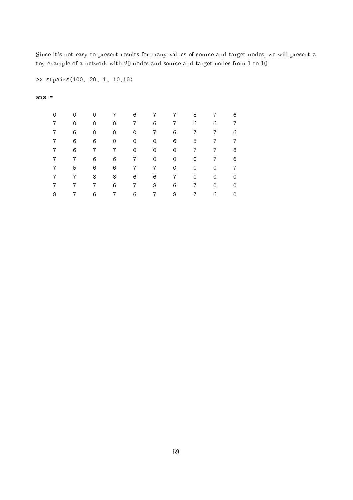Since it's not easy to present results for many values of source and target nodes, we will present a toy example of a network with 20 nodes and source and target nodes from 1 to 10:

```
>> stpairs(100, 20, 1, 10,10)
```
ans =

| 0 | 0 | 0 |   | 6 |   |   | 8 |   | 6 |
|---|---|---|---|---|---|---|---|---|---|
|   | 0 | 0 | 0 |   | 6 |   | 6 | 6 | 7 |
|   | 6 | 0 | 0 | 0 | 7 | 6 | 7 | 7 | 6 |
|   | 6 | 6 | 0 | 0 | 0 | 6 | 5 | 7 | 7 |
|   | 6 |   | 7 | 0 | 0 | 0 |   |   | 8 |
|   | 7 | 6 | 6 | 7 | 0 | 0 | 0 | 7 | 6 |
|   | 5 | 6 | 6 | 7 | 7 | 0 | 0 | 0 | 7 |
|   |   | 8 | 8 | 6 | 6 |   | 0 | 0 | 0 |
|   | 7 | 7 | 6 | 7 | 8 | 6 | 7 | 0 | 0 |
| 8 |   | 6 | 7 | 6 | 7 | 8 |   | 6 | 0 |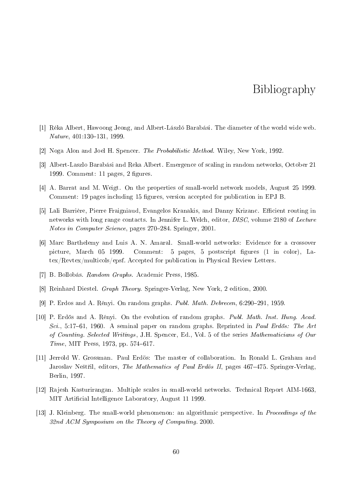# Bibliography

- [1] Réka Albert, Hawoong Jeong, and Albert-László Barabási. The diameter of the world wide web.  $Nature, 401:130-131, 1999.$
- [2] Noga Alon and Joel H. Spencer. The Probabilistic Method. Wiley, New York, 1992.
- [3] Albert-Laszlo Barabási and Reka Albert. Emergence of scaling in random networks, October 21 1999. Comment:  $11$  pages,  $2$  figures.
- [4] A. Barrat and M. Weigt. On the properties of small-world network models, August 25 1999. Comment: 19 pages including 15 figures, version accepted for publication in EPJ B.
- [5] Lali Barrière, Pierre Fraigniaud, Evangelos Kranakis, and Danny Krizanc. Efficient routing in networks with long range contacts. In Jennifer L. Welch, editor, DISC, volume 2180 of Lecture Notes in Computer Science, pages 270-284. Springer, 2001.
- [6] Marc Barthelemy and Luis A. N. Amaral. Small-world networks: Evidence for a crossover picture, March 05 1999. Comment: 5 pages, 5 postscript figures (1 in color), Latex/Revtex/multicols/epsf. Accepted for publication in Physical Review Letters.
- [7] B. Bollobás. Random Graphs. Academic Press, 1985.
- [8] Reinhard Diestel. Graph Theory. Springer-Verlag, New York, 2 edition, 2000.
- [9] P. Erdos and A. Rényi. On random graphs. *Publ. Math. Debrecen*,  $6:290-291$ , 1959.
- [10] P. Erdős and A. Rényi. On the evolution of random graphs. *Publ. Math. Inst. Hung. Acad.* Sci., 5:17–61, 1960. A seminal paper on random graphs. Reprinted in Paul Erdős: The Art of Counting. Selected Writings, J.H. Spencer, Ed., Vol. 5 of the series Mathematicians of Our  $Time, MIT Press, 1973, pp. 574–617.$
- [11] Jerrold W. Grossman. Paul Erdös: The master of collaboration. In Ronald L. Graham and Jaroslav Neštřil, editors, The Mathematics of Paul Erdös II, pages 467–475. Springer-Verlag Berlin, 1997.
- [12] Rajesh Kasturirangan. Multiple scales in small-world networks. Technical Report AIM-1663, MIT Artificial Intelligence Laboratory, August 11 1999.
- [13] J. Kleinberg. The small-world phenomenon: an algorithmic perspective. In Proceedings of the 32nd ACM Symposium on the Theory of Computing. 2000.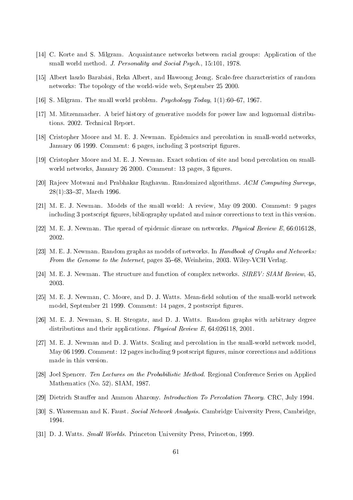- [14] C. Korte and S. Milgram. Acquaintance networks between racial groups: Application of the small world method. J. Personality and Social Psych., 15:101, 1978.
- [15] Albert laszlo Barabási, Reka Albert, and Hawoong Jeong. Scale-free characteristics of random networks: The topology of the world-wide web, September 25 2000.
- [16] S. Milgram. The small world problem. *Psychology Today*,  $1(1):60-67$ , 1967.
- [17] M. Mitzenmacher. A brief history of generative models for power law and lognormal distributions. 2002. Technical Report.
- [18] Cristopher Moore and M. E. J. Newman. Epidemics and percolation in small-world networks January 06 1999. Comment: 6 pages, including 3 postscript figures.
- [19] Cristopher Moore and M. E. J. Newman. Exact solution of site and bond percolation on smallworld networks, January 26 2000. Comment: 13 pages, 3 figures.
- [20] Rajeev Motwani and Prabhakar Raghavan. Randomized algorithms. ACM Computing Surveys, 28(1):33-37, March 1996.
- [21] M. E. J. Newman. Models of the small world: A review, May 09 2000. Comment: 9 pages including 3 postscript figures, bibliography updated and minor corrections to text in this version.
- [22] M. E. J. Newman. The spread of epidemic disease on networks. *Physical Review E*, 66:016128 2002.
- [23] M. E. J. Newman. Random graphs as models of networks. In Handbook of Graphs and Networks: From the Genome to the Internet, pages 35–68, Weinheim, 2003. Wiley-VCH Verlag.
- [24] M. E. J. Newman. The structure and function of complex networks. *SIREV: SIAM Review*, 45 2003.
- [25] M. E. J. Newman, C. Moore, and D. J. Watts. Mean-field solution of the small-world network model, September 21 1999. Comment: 14 pages, 2 postscript figures.
- [26] M. E. J. Newman, S. H. Strogatz, and D. J. Watts. Random graphs with arbitrary degree distributions and their applications. Physical Review E, 64:026118, 2001.
- [27] M. E. J. Newman and D. J. Watts. Scaling and percolation in the small-world network model May 06 1999. Comment: 12 pages including 9 postscript figures, minor corrections and additions made in this version.
- [28] Joel Spencer. Ten Lectures on the Probabilistic Method. Regional Conference Series on Applied Mathematics (No. 52). SIAM, 1987.
- [29] Dietrich Stauffer and Ammon Aharony. *Introduction To Percolation Theory*. CRC, July 1994.
- [30] S. Wasserman and K. Faust. Social Network Analysis. Cambridge University Press, Cambridge, 1994.
- [31] D. J. Watts. Small Worlds. Princeton University Press, Princeton, 1999.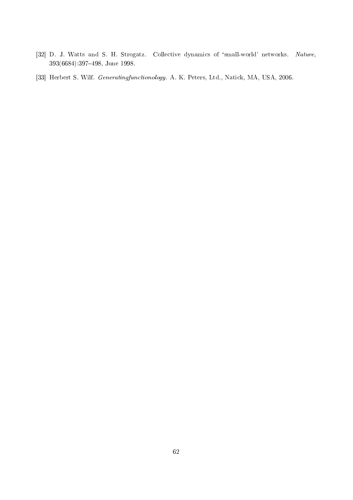- [32] D. J. Watts and S. H. Strogatz. Collective dynamics of 'small-world' networks. Nature, 393(6684):397498, June 1998.
- [33] Herbert S. Wilf. Generatingfunctionology. A. K. Peters, Ltd., Natick, MA, USA, 2006.